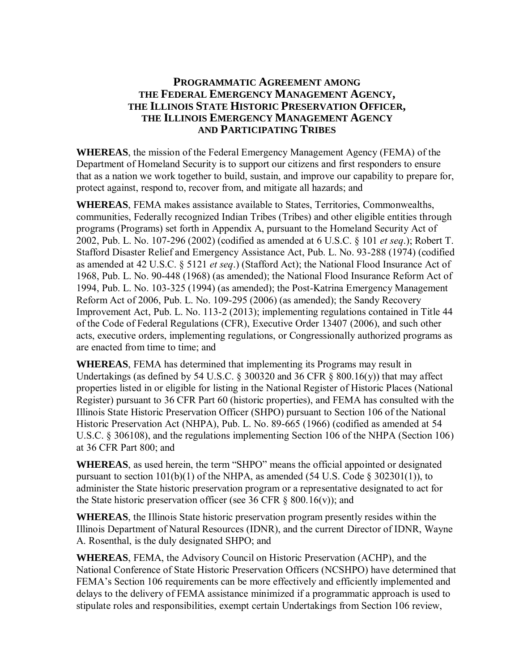### **PROGRAMMATIC AGREEMENT AMONG THE FEDERAL EMERGENCY MANAGEMENT AGENCY, THE ILLINOIS STATE HISTORIC PRESERVATION OFFICER, THE ILLINOIS EMERGENCY MANAGEMENT AGENCY AND PARTICIPATING TRIBES**

**WHEREAS**, the mission of the Federal Emergency Management Agency (FEMA) of the Department of Homeland Security is to support our citizens and first responders to ensure that as a nation we work together to build, sustain, and improve our capability to prepare for, protect against, respond to, recover from, and mitigate all hazards; and

**WHEREAS**, FEMA makes assistance available to States, Territories, Commonwealths, communities, Federally recognized Indian Tribes (Tribes) and other eligible entities through programs (Programs) set forth in Appendix A, pursuant to the Homeland Security Act of 2002, Pub. L. No. 107-296 (2002) (codified as amended at 6 U.S.C. § 101 *et seq*.); Robert T. Stafford Disaster Relief and Emergency Assistance Act, Pub. L. No. 93-288 (1974) (codified as amended at 42 U.S.C. § 5121 *et seq*.) (Stafford Act); the National Flood Insurance Act of 1968, Pub. L. No. 90-448 (1968) (as amended); the National Flood Insurance Reform Act of 1994, Pub. L. No. 103-325 (1994) (as amended); the Post-Katrina Emergency Management Reform Act of 2006, Pub. L. No. 109-295 (2006) (as amended); the Sandy Recovery Improvement Act, Pub. L. No. 113-2 (2013); implementing regulations contained in Title 44 of the Code of Federal Regulations (CFR), Executive Order 13407 (2006), and such other acts, executive orders, implementing regulations, or Congressionally authorized programs as are enacted from time to time; and

**WHEREAS**, FEMA has determined that implementing its Programs may result in Undertakings (as defined by 54 U.S.C.  $\S$  300320 and 36 CFR  $\S$  800.16(y)) that may affect properties listed in or eligible for listing in the National Register of Historic Places (National Register) pursuant to 36 CFR Part 60 (historic properties), and FEMA has consulted with the Illinois State Historic Preservation Officer (SHPO) pursuant to Section 106 of the National Historic Preservation Act (NHPA), Pub. L. No. 89-665 (1966) (codified as amended at 54 U.S.C. § 306108), and the regulations implementing Section 106 of the NHPA (Section 106) at 36 CFR Part 800; and

**WHEREAS**, as used herein, the term "SHPO" means the official appointed or designated pursuant to section  $101(b)(1)$  of the NHPA, as amended (54 U.S. Code § 302301(1)), to administer the State historic preservation program or a representative designated to act for the State historic preservation officer (see 36 CFR  $\&$  800.16(v)); and

**WHEREAS**, the Illinois State historic preservation program presently resides within the Illinois Department of Natural Resources (IDNR), and the current Director of IDNR, Wayne A. Rosenthal, is the duly designated SHPO; and

**WHEREAS**, FEMA, the Advisory Council on Historic Preservation (ACHP), and the National Conference of State Historic Preservation Officers (NCSHPO) have determined that FEMA's Section 106 requirements can be more effectively and efficiently implemented and delays to the delivery of FEMA assistance minimized if a programmatic approach is used to stipulate roles and responsibilities, exempt certain Undertakings from Section 106 review,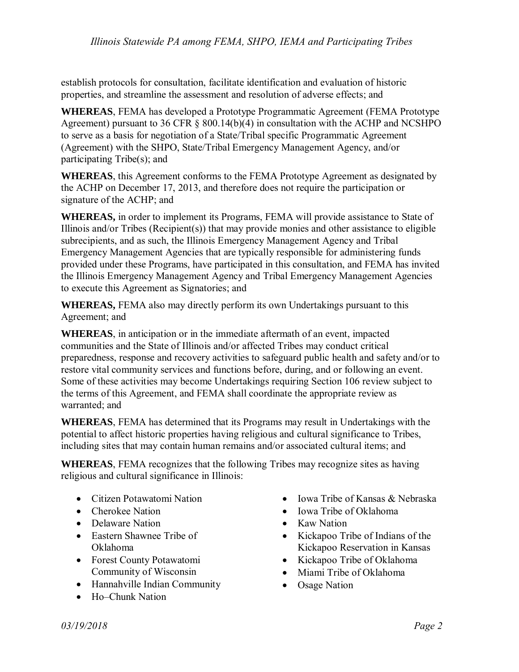establish protocols for consultation, facilitate identification and evaluation of historic properties, and streamline the assessment and resolution of adverse effects; and

**WHEREAS**, FEMA has developed a Prototype Programmatic Agreement (FEMA Prototype Agreement) pursuant to 36 CFR § 800.14(b)(4) in consultation with the ACHP and NCSHPO to serve as a basis for negotiation of a State/Tribal specific Programmatic Agreement (Agreement) with the SHPO, State/Tribal Emergency Management Agency, and/or participating Tribe(s); and

**WHEREAS**, this Agreement conforms to the FEMA Prototype Agreement as designated by the ACHP on December 17, 2013, and therefore does not require the participation or signature of the ACHP; and

**WHEREAS,** in order to implement its Programs, FEMA will provide assistance to State of Illinois and/or Tribes ( $Recipient(s)$ ) that may provide monies and other assistance to eligible subrecipients, and as such, the Illinois Emergency Management Agency and Tribal Emergency Management Agencies that are typically responsible for administering funds provided under these Programs, have participated in this consultation, and FEMA has invited the Illinois Emergency Management Agency and Tribal Emergency Management Agencies to execute this Agreement as Signatories; and

**WHEREAS,** FEMA also may directly perform its own Undertakings pursuant to this Agreement; and

**WHEREAS**, in anticipation or in the immediate aftermath of an event, impacted communities and the State of Illinois and/or affected Tribes may conduct critical preparedness, response and recovery activities to safeguard public health and safety and/or to restore vital community services and functions before, during, and or following an event. Some of these activities may become Undertakings requiring Section 106 review subject to the terms of this Agreement, and FEMA shall coordinate the appropriate review as warranted; and

**WHEREAS**, FEMA has determined that its Programs may result in Undertakings with the potential to affect historic properties having religious and cultural significance to Tribes, including sites that may contain human remains and/or associated cultural items; and

**WHEREAS**, FEMA recognizes that the following Tribes may recognize sites as having religious and cultural significance in Illinois:

- Citizen Potawatomi Nation
- Cherokee Nation
- Delaware Nation
- Eastern Shawnee Tribe of Oklahoma
- Forest County Potawatomi Community of Wisconsin
- Hannahville Indian Community
- Ho–Chunk Nation
- Iowa Tribe of Kansas & Nebraska
- Iowa Tribe of Oklahoma
- Kaw Nation
- Kickapoo Tribe of Indians of the Kickapoo Reservation in Kansas
- Kickapoo Tribe of Oklahoma
- Miami Tribe of Oklahoma
- Osage Nation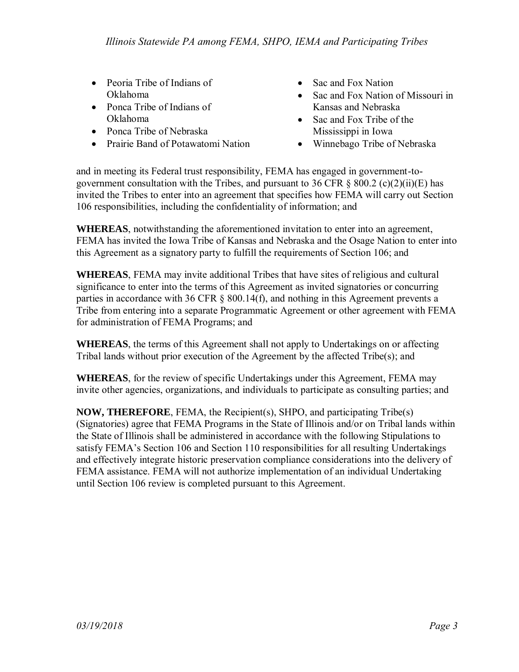- Peoria Tribe of Indians of Oklahoma
- Ponca Tribe of Indians of Oklahoma
- Ponca Tribe of Nebraska
- Prairie Band of Potawatomi Nation
- Sac and Fox Nation
- Sac and Fox Nation of Missouri in Kansas and Nebraska
- Sac and Fox Tribe of the Mississippi in Iowa
- Winnebago Tribe of Nebraska

and in meeting its Federal trust responsibility, FEMA has engaged in government-togovernment consultation with the Tribes, and pursuant to 36 CFR  $\S$  800.2 (c)(2)(ii)(E) has invited the Tribes to enter into an agreement that specifies how FEMA will carry out Section 106 responsibilities, including the confidentiality of information; and

**WHEREAS**, notwithstanding the aforementioned invitation to enter into an agreement, FEMA has invited the Iowa Tribe of Kansas and Nebraska and the Osage Nation to enter into this Agreement as a signatory party to fulfill the requirements of Section 106; and

**WHEREAS**, FEMA may invite additional Tribes that have sites of religious and cultural significance to enter into the terms of this Agreement as invited signatories or concurring parties in accordance with 36 CFR  $\S$  800.14(f), and nothing in this Agreement prevents a Tribe from entering into a separate Programmatic Agreement or other agreement with FEMA for administration of FEMA Programs; and

**WHEREAS**, the terms of this Agreement shall not apply to Undertakings on or affecting Tribal lands without prior execution of the Agreement by the affected Tribe(s); and

**WHEREAS**, for the review of specific Undertakings under this Agreement, FEMA may invite other agencies, organizations, and individuals to participate as consulting parties; and

**NOW, THEREFORE**, FEMA, the Recipient(s), SHPO, and participating Tribe(s) (Signatories) agree that FEMA Programs in the State of Illinois and/or on Tribal lands within the State of Illinois shall be administered in accordance with the following Stipulations to satisfy FEMA's Section 106 and Section 110 responsibilities for all resulting Undertakings and effectively integrate historic preservation compliance considerations into the delivery of FEMA assistance. FEMA will not authorize implementation of an individual Undertaking until Section 106 review is completed pursuant to this Agreement.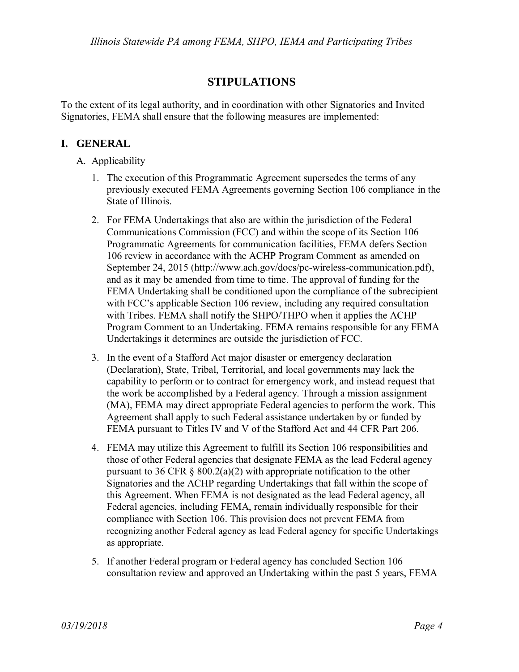## **STIPULATIONS**

To the extent of its legal authority, and in coordination with other Signatories and Invited Signatories, FEMA shall ensure that the following measures are implemented:

### **I. GENERAL**

- A. Applicability
	- 1. The execution of this Programmatic Agreement supersedes the terms of any previously executed FEMA Agreements governing Section 106 compliance in the State of Illinois.
	- 2. For FEMA Undertakings that also are within the jurisdiction of the Federal Communications Commission (FCC) and within the scope of its Section 106 Programmatic Agreements for communication facilities, FEMA defers Section 106 review in accordance with the ACHP Program Comment as amended on September 24, 2015 (http://www.ach.gov/docs/pc-wireless-communication.pdf), and as it may be amended from time to time. The approval of funding for the FEMA Undertaking shall be conditioned upon the compliance of the subrecipient with FCC's applicable Section 106 review, including any required consultation with Tribes. FEMA shall notify the SHPO/THPO when it applies the ACHP Program Comment to an Undertaking. FEMA remains responsible for any FEMA Undertakings it determines are outside the jurisdiction of FCC.
	- 3. In the event of a Stafford Act major disaster or emergency declaration (Declaration), State, Tribal, Territorial, and local governments may lack the capability to perform or to contract for emergency work, and instead request that the work be accomplished by a Federal agency. Through a mission assignment (MA), FEMA may direct appropriate Federal agencies to perform the work. This Agreement shall apply to such Federal assistance undertaken by or funded by FEMA pursuant to Titles IV and V of the Stafford Act and 44 CFR Part 206.
	- 4. FEMA may utilize this Agreement to fulfill its Section 106 responsibilities and those of other Federal agencies that designate FEMA as the lead Federal agency pursuant to 36 CFR  $\S$  800.2(a)(2) with appropriate notification to the other Signatories and the ACHP regarding Undertakings that fall within the scope of this Agreement. When FEMA is not designated as the lead Federal agency, all Federal agencies, including FEMA, remain individually responsible for their compliance with Section 106. This provision does not prevent FEMA from recognizing another Federal agency as lead Federal agency for specific Undertakings as appropriate.
	- 5. If another Federal program or Federal agency has concluded Section 106 consultation review and approved an Undertaking within the past 5 years, FEMA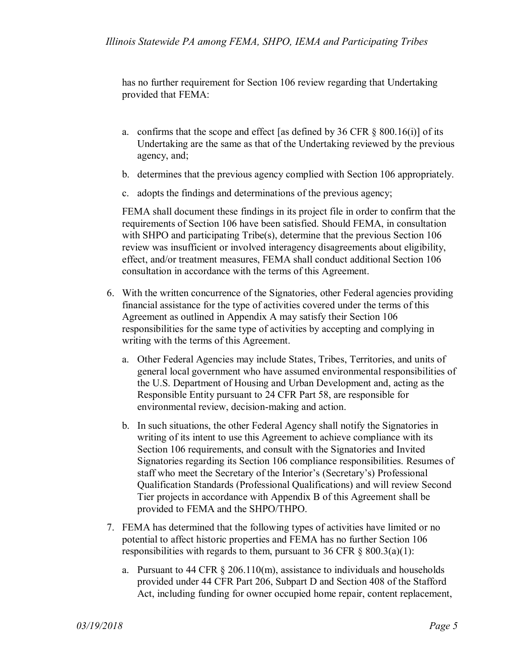has no further requirement for Section 106 review regarding that Undertaking provided that FEMA:

- a. confirms that the scope and effect [as defined by 36 CFR  $\S$  800.16(i)] of its Undertaking are the same as that of the Undertaking reviewed by the previous agency, and;
- b. determines that the previous agency complied with Section 106 appropriately.
- c. adopts the findings and determinations of the previous agency;

FEMA shall document these findings in its project file in order to confirm that the requirements of Section 106 have been satisfied. Should FEMA, in consultation with SHPO and participating Tribe(s), determine that the previous Section 106 review was insufficient or involved interagency disagreements about eligibility, effect, and/or treatment measures, FEMA shall conduct additional Section 106 consultation in accordance with the terms of this Agreement.

- 6. With the written concurrence of the Signatories, other Federal agencies providing financial assistance for the type of activities covered under the terms of this Agreement as outlined in Appendix A may satisfy their Section 106 responsibilities for the same type of activities by accepting and complying in writing with the terms of this Agreement.
	- a. Other Federal Agencies may include States, Tribes, Territories, and units of general local government who have assumed environmental responsibilities of the U.S. Department of Housing and Urban Development and, acting as the Responsible Entity pursuant to 24 CFR Part 58, are responsible for environmental review, decision-making and action.
	- b. In such situations, the other Federal Agency shall notify the Signatories in writing of its intent to use this Agreement to achieve compliance with its Section 106 requirements, and consult with the Signatories and Invited Signatories regarding its Section 106 compliance responsibilities. Resumes of staff who meet the Secretary of the Interior's (Secretary's) Professional Qualification Standards (Professional Qualifications) and will review Second Tier projects in accordance with Appendix B of this Agreement shall be provided to FEMA and the SHPO/THPO.
- 7. FEMA has determined that the following types of activities have limited or no potential to affect historic properties and FEMA has no further Section 106 responsibilities with regards to them, pursuant to 36 CFR  $\&$  800.3(a)(1):
	- a. Pursuant to 44 CFR  $\S 206.110(m)$ , assistance to individuals and households provided under 44 CFR Part 206, Subpart D and Section 408 of the Stafford Act, including funding for owner occupied home repair, content replacement,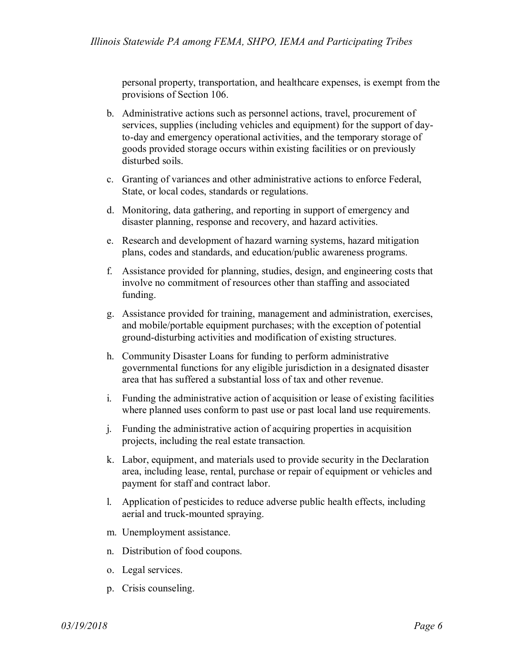personal property, transportation, and healthcare expenses, is exempt from the provisions of Section 106.

- b. Administrative actions such as personnel actions, travel, procurement of services, supplies (including vehicles and equipment) for the support of dayto-day and emergency operational activities, and the temporary storage of goods provided storage occurs within existing facilities or on previously disturbed soils.
- c. Granting of variances and other administrative actions to enforce Federal, State, or local codes, standards or regulations.
- d. Monitoring, data gathering, and reporting in support of emergency and disaster planning, response and recovery, and hazard activities.
- e. Research and development of hazard warning systems, hazard mitigation plans, codes and standards, and education/public awareness programs.
- f. Assistance provided for planning, studies, design, and engineering costs that involve no commitment of resources other than staffing and associated funding.
- g. Assistance provided for training, management and administration, exercises, and mobile/portable equipment purchases; with the exception of potential ground-disturbing activities and modification of existing structures.
- h. Community Disaster Loans for funding to perform administrative governmental functions for any eligible jurisdiction in a designated disaster area that has suffered a substantial loss of tax and other revenue.
- i. Funding the administrative action of acquisition or lease of existing facilities where planned uses conform to past use or past local land use requirements.
- j. Funding the administrative action of acquiring properties in acquisition projects, including the real estate transaction*.*
- k. Labor, equipment, and materials used to provide security in the Declaration area, including lease, rental, purchase or repair of equipment or vehicles and payment for staff and contract labor.
- l. Application of pesticides to reduce adverse public health effects, including aerial and truck-mounted spraying.
- m. Unemployment assistance.
- n. Distribution of food coupons.
- o. Legal services.
- p. Crisis counseling.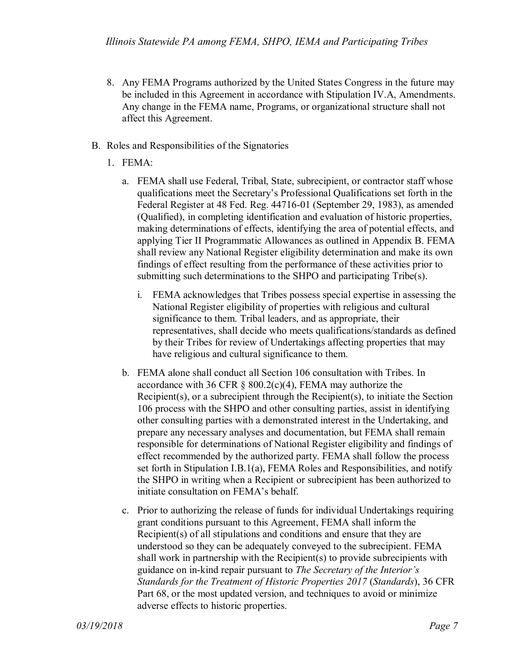- 8. Any FEMA Programs authorized by the United States Congress in the future may be included in this Agreement in accordance with Stipulation IV.A, Amendments. Any change in the FEMA name, Programs, or organizational structure shall not affect this Agreement.
- B. Roles and Responsibilities of the Signatories
	- 1. FEMA:
		- a. FEMA shall use Federal, Tribal, State, subrecipient, or contractor staff whose qualifications meet the Secretary's Professional Qualifications set forth in the Federal Register at 48 Fed. Reg. 44716-01 (September 29, 1983), as amended (Qualified), in completing identification and evaluation of historic properties, making determinations of effects, identifying the area of potential effects, and applying Tier II Programmatic Allowances as outlined in Appendix B. FEMA shall review any National Register eligibility determination and make its own findings of effect resulting from the performance of these activities prior to submitting such determinations to the SHPO and participating Tribe(s).
			- i. FEMA acknowledges that Tribes possess special expertise in assessing the National Register eligibility of properties with religious and cultural significance to them. Tribal leaders, and as appropriate, their representatives, shall decide who meets qualifications/standards as defined by their Tribes for review of Undertakings affecting properties that may have religious and cultural significance to them.
		- b. FEMA alone shall conduct all Section 106 consultation with Tribes. In accordance with 36 CFR  $\S$  800.2(c)(4), FEMA may authorize the Recipient(s), or a subrecipient through the Recipient(s), to initiate the Section 106 process with the SHPO and other consulting parties, assist in identifying other consulting parties with a demonstrated interest in the Undertaking, and prepare any necessary analyses and documentation, but FEMA shall remain responsible for determinations of National Register eligibility and findings of effect recommended by the authorized party. FEMA shall follow the process set forth in Stipulation I.B.1(a), FEMA Roles and Responsibilities, and notify the SHPO in writing when a Recipient or subrecipient has been authorized to initiate consultation on FEMA's behalf.
		- c. Prior to authorizing the release of funds for individual Undertakings requiring grant conditions pursuant to this Agreement, FEMA shall inform the Recipient(s) of all stipulations and conditions and ensure that they are understood so they can be adequately conveyed to the subrecipient. FEMA shall work in partnership with the Recipient(s) to provide subrecipients with guidance on in-kind repair pursuant to *The Secretary of the Interior's Standards for the Treatment of Historic Properties 2017* (*Standards*), 36 CFR Part 68, or the most updated version, and techniques to avoid or minimize adverse effects to historic properties.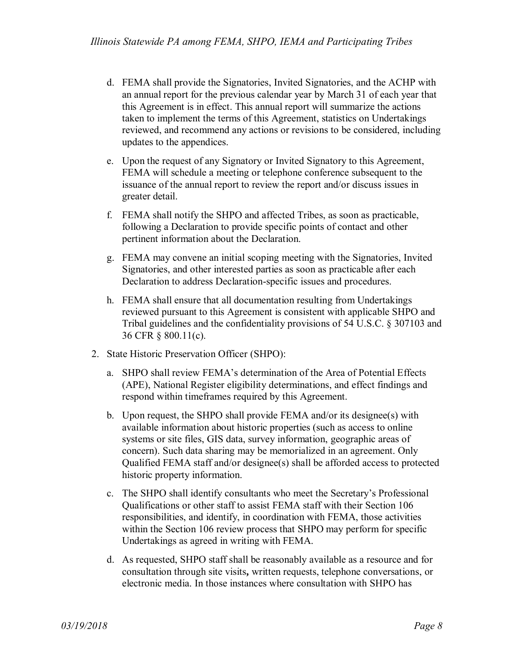- d. FEMA shall provide the Signatories, Invited Signatories, and the ACHP with an annual report for the previous calendar year by March 31 of each year that this Agreement is in effect. This annual report will summarize the actions taken to implement the terms of this Agreement, statistics on Undertakings reviewed, and recommend any actions or revisions to be considered, including updates to the appendices.
- e. Upon the request of any Signatory or Invited Signatory to this Agreement, FEMA will schedule a meeting or telephone conference subsequent to the issuance of the annual report to review the report and/or discuss issues in greater detail.
- f. FEMA shall notify the SHPO and affected Tribes, as soon as practicable, following a Declaration to provide specific points of contact and other pertinent information about the Declaration.
- g. FEMA may convene an initial scoping meeting with the Signatories, Invited Signatories, and other interested parties as soon as practicable after each Declaration to address Declaration-specific issues and procedures.
- h. FEMA shall ensure that all documentation resulting from Undertakings reviewed pursuant to this Agreement is consistent with applicable SHPO and Tribal guidelines and the confidentiality provisions of 54 U.S.C. § 307103 and 36 CFR § 800.11(c).
- 2. State Historic Preservation Officer (SHPO):
	- a. SHPO shall review FEMA's determination of the Area of Potential Effects (APE), National Register eligibility determinations, and effect findings and respond within timeframes required by this Agreement.
	- b. Upon request, the SHPO shall provide FEMA and/or its designee(s) with available information about historic properties (such as access to online systems or site files, GIS data, survey information, geographic areas of concern). Such data sharing may be memorialized in an agreement. Only Qualified FEMA staff and/or designee(s) shall be afforded access to protected historic property information.
	- c. The SHPO shall identify consultants who meet the Secretary's Professional Qualifications or other staff to assist FEMA staff with their Section 106 responsibilities, and identify, in coordination with FEMA, those activities within the Section 106 review process that SHPO may perform for specific Undertakings as agreed in writing with FEMA.
	- d. As requested, SHPO staff shall be reasonably available as a resource and for consultation through site visits**,** written requests, telephone conversations, or electronic media. In those instances where consultation with SHPO has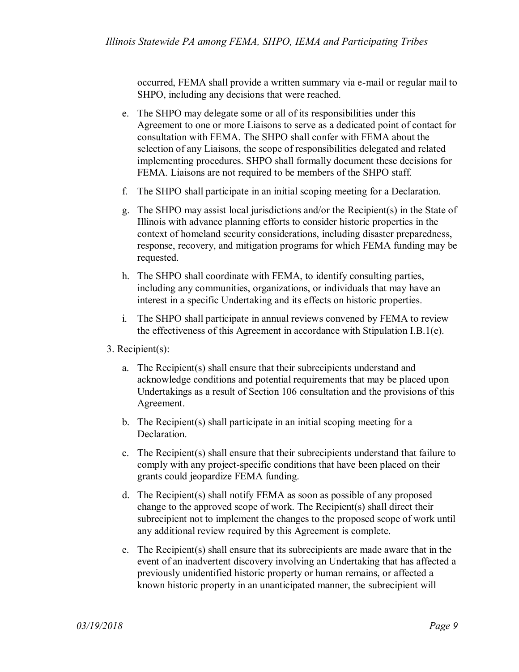occurred, FEMA shall provide a written summary via e-mail or regular mail to SHPO, including any decisions that were reached.

- e. The SHPO may delegate some or all of its responsibilities under this Agreement to one or more Liaisons to serve as a dedicated point of contact for consultation with FEMA. The SHPO shall confer with FEMA about the selection of any Liaisons, the scope of responsibilities delegated and related implementing procedures. SHPO shall formally document these decisions for FEMA. Liaisons are not required to be members of the SHPO staff.
- f. The SHPO shall participate in an initial scoping meeting for a Declaration.
- g. The SHPO may assist local jurisdictions and/or the Recipient(s) in the State of Illinois with advance planning efforts to consider historic properties in the context of homeland security considerations, including disaster preparedness, response, recovery, and mitigation programs for which FEMA funding may be requested.
- h. The SHPO shall coordinate with FEMA, to identify consulting parties, including any communities, organizations, or individuals that may have an interest in a specific Undertaking and its effects on historic properties.
- i. The SHPO shall participate in annual reviews convened by FEMA to review the effectiveness of this Agreement in accordance with Stipulation I.B.1(e).
- 3. Recipient(s):
	- a. The Recipient(s) shall ensure that their subrecipients understand and acknowledge conditions and potential requirements that may be placed upon Undertakings as a result of Section 106 consultation and the provisions of this Agreement.
	- b. The Recipient(s) shall participate in an initial scoping meeting for a Declaration.
	- c. The Recipient(s) shall ensure that their subrecipients understand that failure to comply with any project-specific conditions that have been placed on their grants could jeopardize FEMA funding.
	- d. The Recipient(s) shall notify FEMA as soon as possible of any proposed change to the approved scope of work. The Recipient(s) shall direct their subrecipient not to implement the changes to the proposed scope of work until any additional review required by this Agreement is complete.
	- e. The Recipient(s) shall ensure that its subrecipients are made aware that in the event of an inadvertent discovery involving an Undertaking that has affected a previously unidentified historic property or human remains, or affected a known historic property in an unanticipated manner, the subrecipient will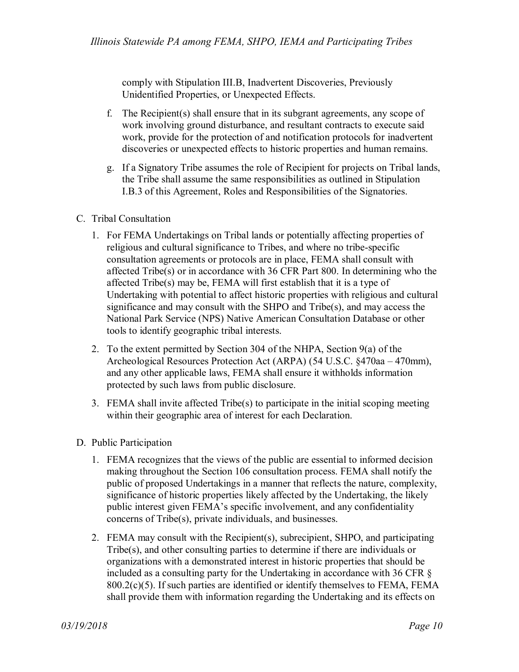comply with Stipulation III.B, Inadvertent Discoveries, Previously Unidentified Properties, or Unexpected Effects.

- f. The Recipient(s) shall ensure that in its subgrant agreements, any scope of work involving ground disturbance, and resultant contracts to execute said work, provide for the protection of and notification protocols for inadvertent discoveries or unexpected effects to historic properties and human remains.
- g. If a Signatory Tribe assumes the role of Recipient for projects on Tribal lands, the Tribe shall assume the same responsibilities as outlined in Stipulation I.B.3 of this Agreement, Roles and Responsibilities of the Signatories.
- C. Tribal Consultation
	- 1. For FEMA Undertakings on Tribal lands or potentially affecting properties of religious and cultural significance to Tribes, and where no tribe-specific consultation agreements or protocols are in place, FEMA shall consult with affected Tribe(s) or in accordance with 36 CFR Part 800. In determining who the affected Tribe(s) may be, FEMA will first establish that it is a type of Undertaking with potential to affect historic properties with religious and cultural significance and may consult with the SHPO and Tribe(s), and may access the National Park Service (NPS) Native American Consultation Database or other tools to identify geographic tribal interests.
	- 2. To the extent permitted by Section 304 of the NHPA, Section 9(a) of the Archeological Resources Protection Act (ARPA) (54 U.S.C. §470aa – 470mm), and any other applicable laws, FEMA shall ensure it withholds information protected by such laws from public disclosure.
	- 3. FEMA shall invite affected Tribe(s) to participate in the initial scoping meeting within their geographic area of interest for each Declaration.
- D. Public Participation
	- 1. FEMA recognizes that the views of the public are essential to informed decision making throughout the Section 106 consultation process. FEMA shall notify the public of proposed Undertakings in a manner that reflects the nature, complexity, significance of historic properties likely affected by the Undertaking, the likely public interest given FEMA's specific involvement, and any confidentiality concerns of Tribe(s), private individuals, and businesses.
	- 2. FEMA may consult with the Recipient(s), subrecipient, SHPO, and participating Tribe(s), and other consulting parties to determine if there are individuals or organizations with a demonstrated interest in historic properties that should be included as a consulting party for the Undertaking in accordance with 36 CFR §  $800.2(c)(5)$ . If such parties are identified or identify themselves to FEMA, FEMA shall provide them with information regarding the Undertaking and its effects on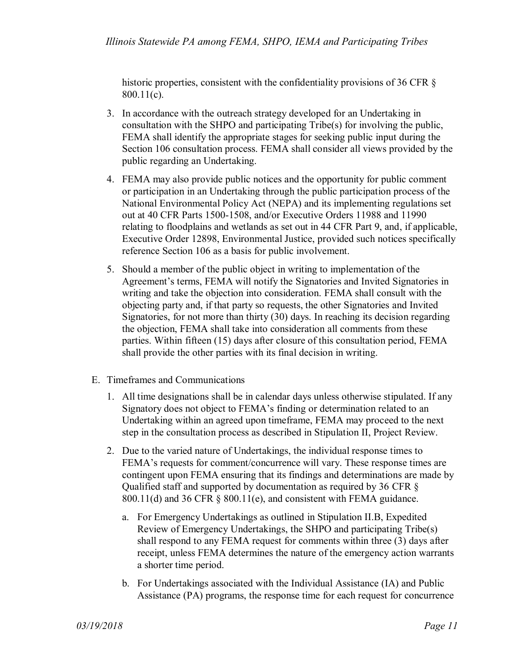historic properties, consistent with the confidentiality provisions of 36 CFR  $\S$ 800.11(c).

- 3. In accordance with the outreach strategy developed for an Undertaking in consultation with the SHPO and participating Tribe(s) for involving the public, FEMA shall identify the appropriate stages for seeking public input during the Section 106 consultation process. FEMA shall consider all views provided by the public regarding an Undertaking.
- 4. FEMA may also provide public notices and the opportunity for public comment or participation in an Undertaking through the public participation process of the National Environmental Policy Act (NEPA) and its implementing regulations set out at 40 CFR Parts 1500-1508, and/or Executive Orders 11988 and 11990 relating to floodplains and wetlands as set out in 44 CFR Part 9, and, if applicable, Executive Order 12898, Environmental Justice, provided such notices specifically reference Section 106 as a basis for public involvement.
- 5. Should a member of the public object in writing to implementation of the Agreement's terms, FEMA will notify the Signatories and Invited Signatories in writing and take the objection into consideration. FEMA shall consult with the objecting party and, if that party so requests, the other Signatories and Invited Signatories, for not more than thirty (30) days. In reaching its decision regarding the objection, FEMA shall take into consideration all comments from these parties. Within fifteen (15) days after closure of this consultation period, FEMA shall provide the other parties with its final decision in writing.
- E. Timeframes and Communications
	- 1. All time designations shall be in calendar days unless otherwise stipulated. If any Signatory does not object to FEMA's finding or determination related to an Undertaking within an agreed upon timeframe, FEMA may proceed to the next step in the consultation process as described in Stipulation II, Project Review.
	- 2. Due to the varied nature of Undertakings, the individual response times to FEMA's requests for comment/concurrence will vary. These response times are contingent upon FEMA ensuring that its findings and determinations are made by Qualified staff and supported by documentation as required by 36 CFR § 800.11(d) and 36 CFR § 800.11(e), and consistent with FEMA guidance.
		- a. For Emergency Undertakings as outlined in Stipulation II.B, Expedited Review of Emergency Undertakings, the SHPO and participating Tribe(s) shall respond to any FEMA request for comments within three (3) days after receipt, unless FEMA determines the nature of the emergency action warrants a shorter time period.
		- b. For Undertakings associated with the Individual Assistance (IA) and Public Assistance (PA) programs, the response time for each request for concurrence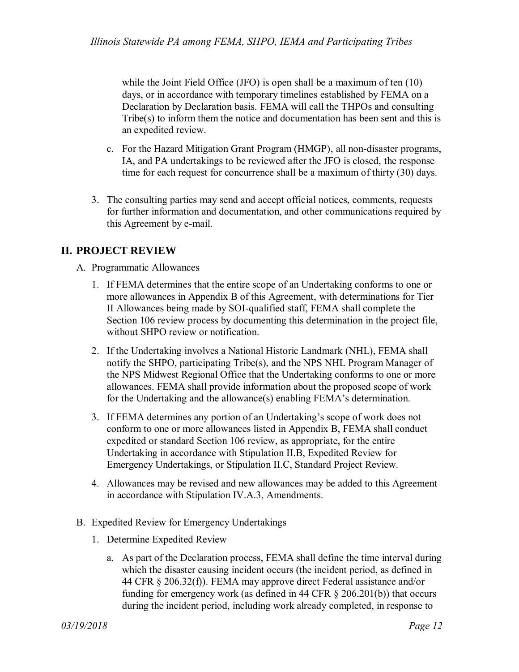while the Joint Field Office (JFO) is open shall be a maximum of ten (10) days, or in accordance with temporary timelines established by FEMA on a Declaration by Declaration basis. FEMA will call the THPOs and consulting Tribe(s) to inform them the notice and documentation has been sent and this is an expedited review.

- c. For the Hazard Mitigation Grant Program (HMGP), all non-disaster programs, IA, and PA undertakings to be reviewed after the JFO is closed, the response time for each request for concurrence shall be a maximum of thirty (30) days.
- 3. The consulting parties may send and accept official notices, comments, requests for further information and documentation, and other communications required by this Agreement by e-mail.

## **II. PROJECT REVIEW**

- A. Programmatic Allowances
	- 1. If FEMA determines that the entire scope of an Undertaking conforms to one or more allowances in Appendix B of this Agreement, with determinations for Tier II Allowances being made by SOI-qualified staff, FEMA shall complete the Section 106 review process by documenting this determination in the project file, without SHPO review or notification.
	- 2. If the Undertaking involves a National Historic Landmark (NHL), FEMA shall notify the SHPO, participating Tribe(s), and the NPS NHL Program Manager of the NPS Midwest Regional Office that the Undertaking conforms to one or more allowances. FEMA shall provide information about the proposed scope of work for the Undertaking and the allowance(s) enabling FEMA's determination.
	- 3. If FEMA determines any portion of an Undertaking's scope of work does not conform to one or more allowances listed in Appendix B, FEMA shall conduct expedited or standard Section 106 review, as appropriate, for the entire Undertaking in accordance with Stipulation II.B, Expedited Review for Emergency Undertakings, or Stipulation II.C, Standard Project Review.
	- 4. Allowances may be revised and new allowances may be added to this Agreement in accordance with Stipulation IV.A.3, Amendments.
- B. Expedited Review for Emergency Undertakings
	- 1. Determine Expedited Review
		- a. As part of the Declaration process, FEMA shall define the time interval during which the disaster causing incident occurs (the incident period, as defined in 44 CFR § 206.32(f)). FEMA may approve direct Federal assistance and/or funding for emergency work (as defined in 44 CFR  $\S$  206.201(b)) that occurs during the incident period, including work already completed, in response to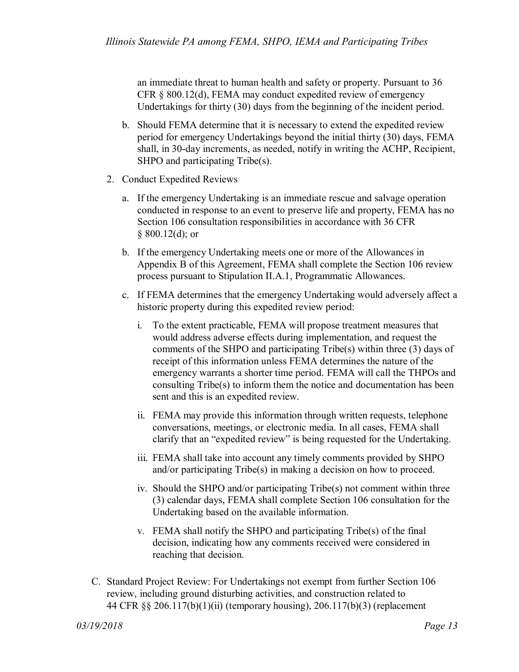an immediate threat to human health and safety or property. Pursuant to 36 CFR § 800.12(d), FEMA may conduct expedited review of emergency Undertakings for thirty (30) days from the beginning of the incident period.

- b. Should FEMA determine that it is necessary to extend the expedited review period for emergency Undertakings beyond the initial thirty (30) days, FEMA shall, in 30-day increments, as needed, notify in writing the ACHP, Recipient, SHPO and participating Tribe(s).
- 2. Conduct Expedited Reviews
	- a. If the emergency Undertaking is an immediate rescue and salvage operation conducted in response to an event to preserve life and property, FEMA has no Section 106 consultation responsibilities in accordance with 36 CFR  $§ 800.12(d);$  or
	- b. If the emergency Undertaking meets one or more of the Allowances in Appendix B of this Agreement, FEMA shall complete the Section 106 review process pursuant to Stipulation II.A.1, Programmatic Allowances.
	- c. If FEMA determines that the emergency Undertaking would adversely affect a historic property during this expedited review period:
		- i. To the extent practicable, FEMA will propose treatment measures that would address adverse effects during implementation, and request the comments of the SHPO and participating Tribe(s) within three (3) days of receipt of this information unless FEMA determines the nature of the emergency warrants a shorter time period. FEMA will call the THPOs and consulting Tribe(s) to inform them the notice and documentation has been sent and this is an expedited review.
		- ii. FEMA may provide this information through written requests, telephone conversations, meetings, or electronic media. In all cases, FEMA shall clarify that an "expedited review" is being requested for the Undertaking.
		- iii. FEMA shall take into account any timely comments provided by SHPO and/or participating Tribe(s) in making a decision on how to proceed.
		- iv. Should the SHPO and/or participating Tribe(s) not comment within three (3) calendar days, FEMA shall complete Section 106 consultation for the Undertaking based on the available information.
		- v. FEMA shall notify the SHPO and participating Tribe(s) of the final decision, indicating how any comments received were considered in reaching that decision.
- C. Standard Project Review: For Undertakings not exempt from further Section 106 review, including ground disturbing activities, and construction related to 44 CFR §§ 206.117(b)(1)(ii) (temporary housing), 206.117(b)(3) (replacement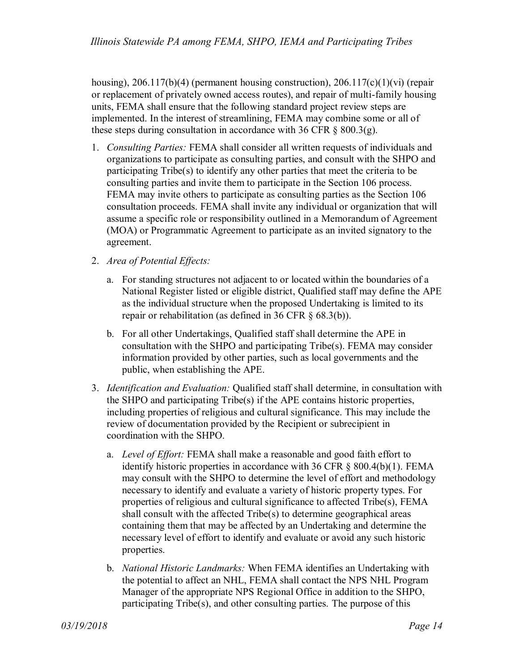housing), 206.117(b)(4) (permanent housing construction), 206.117(c)(1)(vi) (repair or replacement of privately owned access routes), and repair of multi-family housing units, FEMA shall ensure that the following standard project review steps are implemented. In the interest of streamlining, FEMA may combine some or all of these steps during consultation in accordance with 36 CFR  $\S$  800.3(g).

- 1. *Consulting Parties:* FEMA shall consider all written requests of individuals and organizations to participate as consulting parties, and consult with the SHPO and participating Tribe(s) to identify any other parties that meet the criteria to be consulting parties and invite them to participate in the Section 106 process. FEMA may invite others to participate as consulting parties as the Section 106 consultation proceeds. FEMA shall invite any individual or organization that will assume a specific role or responsibility outlined in a Memorandum of Agreement (MOA) or Programmatic Agreement to participate as an invited signatory to the agreement.
- 2. *Area of Potential Effects:*
	- a. For standing structures not adjacent to or located within the boundaries of a National Register listed or eligible district, Qualified staff may define the APE as the individual structure when the proposed Undertaking is limited to its repair or rehabilitation (as defined in 36 CFR § 68.3(b)).
	- b. For all other Undertakings, Qualified staff shall determine the APE in consultation with the SHPO and participating Tribe(s). FEMA may consider information provided by other parties, such as local governments and the public, when establishing the APE.
- 3. *Identification and Evaluation:* Qualified staff shall determine, in consultation with the SHPO and participating Tribe(s) if the APE contains historic properties, including properties of religious and cultural significance. This may include the review of documentation provided by the Recipient or subrecipient in coordination with the SHPO.
	- a. *Level of Effort:* FEMA shall make a reasonable and good faith effort to identify historic properties in accordance with 36 CFR § 800.4(b)(1). FEMA may consult with the SHPO to determine the level of effort and methodology necessary to identify and evaluate a variety of historic property types. For properties of religious and cultural significance to affected Tribe(s), FEMA shall consult with the affected Tribe(s) to determine geographical areas containing them that may be affected by an Undertaking and determine the necessary level of effort to identify and evaluate or avoid any such historic properties.
	- b. *National Historic Landmarks:* When FEMA identifies an Undertaking with the potential to affect an NHL, FEMA shall contact the NPS NHL Program Manager of the appropriate NPS Regional Office in addition to the SHPO, participating Tribe(s), and other consulting parties. The purpose of this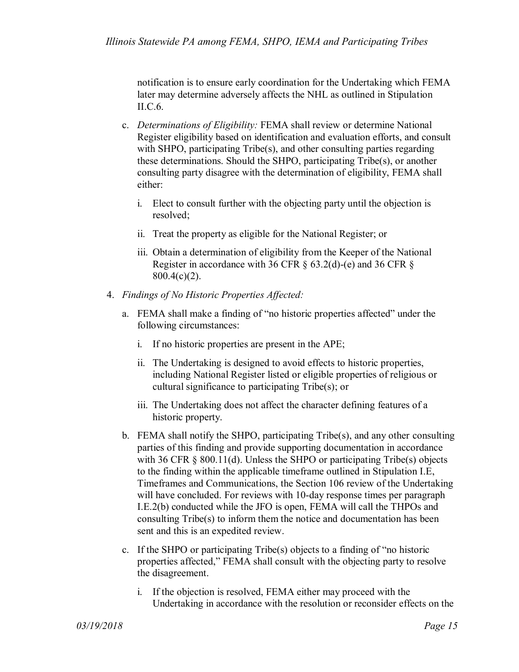notification is to ensure early coordination for the Undertaking which FEMA later may determine adversely affects the NHL as outlined in Stipulation II.C.6.

- c. *Determinations of Eligibility:* FEMA shall review or determine National Register eligibility based on identification and evaluation efforts, and consult with SHPO, participating Tribe(s), and other consulting parties regarding these determinations. Should the SHPO, participating Tribe(s), or another consulting party disagree with the determination of eligibility, FEMA shall either:
	- i. Elect to consult further with the objecting party until the objection is resolved;
	- ii. Treat the property as eligible for the National Register; or
	- iii. Obtain a determination of eligibility from the Keeper of the National Register in accordance with 36 CFR § 63.2(d)-(e) and 36 CFR § 800.4(c)(2).
- 4. *Findings of No Historic Properties Affected:*
	- a. FEMA shall make a finding of "no historic properties affected" under the following circumstances:
		- i. If no historic properties are present in the APE;
		- ii. The Undertaking is designed to avoid effects to historic properties, including National Register listed or eligible properties of religious or cultural significance to participating Tribe(s); or
		- iii. The Undertaking does not affect the character defining features of a historic property.
	- b. FEMA shall notify the SHPO, participating Tribe(s), and any other consulting parties of this finding and provide supporting documentation in accordance with 36 CFR § 800.11(d). Unless the SHPO or participating Tribe(s) objects to the finding within the applicable timeframe outlined in Stipulation I.E, Timeframes and Communications, the Section 106 review of the Undertaking will have concluded. For reviews with 10-day response times per paragraph I.E.2(b) conducted while the JFO is open, FEMA will call the THPOs and consulting Tribe(s) to inform them the notice and documentation has been sent and this is an expedited review.
	- c. If the SHPO or participating Tribe(s) objects to a finding of "no historic properties affected," FEMA shall consult with the objecting party to resolve the disagreement.
		- i. If the objection is resolved, FEMA either may proceed with the Undertaking in accordance with the resolution or reconsider effects on the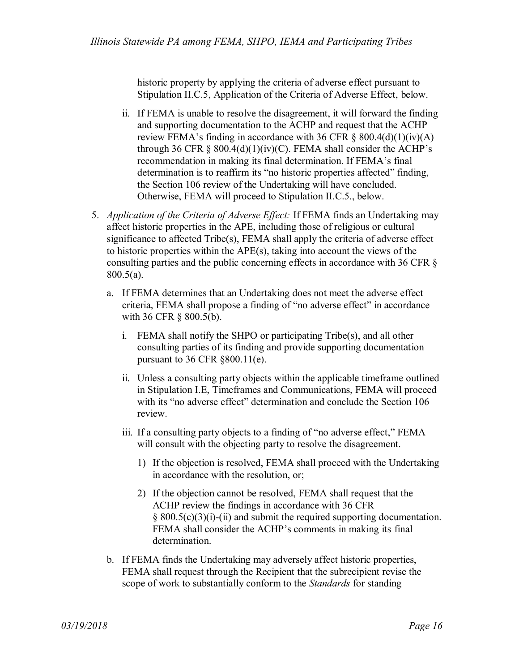historic property by applying the criteria of adverse effect pursuant to Stipulation II.C.5, Application of the Criteria of Adverse Effect, below.

- ii. If FEMA is unable to resolve the disagreement, it will forward the finding and supporting documentation to the ACHP and request that the ACHP review FEMA's finding in accordance with 36 CFR  $\S$  800.4(d)(1)(iv)(A) through 36 CFR  $\S$  800.4(d)(1)(iv)(C). FEMA shall consider the ACHP's recommendation in making its final determination. If FEMA's final determination is to reaffirm its "no historic properties affected" finding, the Section 106 review of the Undertaking will have concluded. Otherwise, FEMA will proceed to Stipulation II.C.5., below.
- 5. *Application of the Criteria of Adverse Effect:* If FEMA finds an Undertaking may affect historic properties in the APE, including those of religious or cultural significance to affected Tribe(s), FEMA shall apply the criteria of adverse effect to historic properties within the APE(s), taking into account the views of the consulting parties and the public concerning effects in accordance with 36 CFR § 800.5(a).
	- a. If FEMA determines that an Undertaking does not meet the adverse effect criteria, FEMA shall propose a finding of "no adverse effect" in accordance with 36 CFR § 800.5(b).
		- i. FEMA shall notify the SHPO or participating Tribe(s), and all other consulting parties of its finding and provide supporting documentation pursuant to 36 CFR §800.11(e).
		- ii. Unless a consulting party objects within the applicable timeframe outlined in Stipulation I.E, Timeframes and Communications, FEMA will proceed with its "no adverse effect" determination and conclude the Section 106 review.
		- iii. If a consulting party objects to a finding of "no adverse effect," FEMA will consult with the objecting party to resolve the disagreement.
			- 1) If the objection is resolved, FEMA shall proceed with the Undertaking in accordance with the resolution, or;
			- 2) If the objection cannot be resolved, FEMA shall request that the ACHP review the findings in accordance with 36 CFR  $\S$  800.5(c)(3)(i)-(ii) and submit the required supporting documentation. FEMA shall consider the ACHP's comments in making its final determination.
	- b. If FEMA finds the Undertaking may adversely affect historic properties, FEMA shall request through the Recipient that the subrecipient revise the scope of work to substantially conform to the *Standards* for standing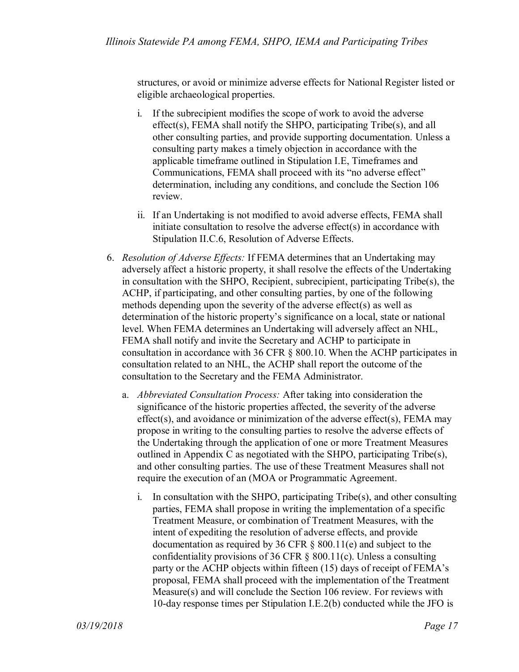structures, or avoid or minimize adverse effects for National Register listed or eligible archaeological properties.

- i. If the subrecipient modifies the scope of work to avoid the adverse effect(s), FEMA shall notify the SHPO, participating Tribe(s), and all other consulting parties, and provide supporting documentation. Unless a consulting party makes a timely objection in accordance with the applicable timeframe outlined in Stipulation I.E, Timeframes and Communications, FEMA shall proceed with its "no adverse effect" determination, including any conditions, and conclude the Section 106 review.
- ii. If an Undertaking is not modified to avoid adverse effects, FEMA shall initiate consultation to resolve the adverse effect(s) in accordance with Stipulation II.C.6, Resolution of Adverse Effects.
- 6. *Resolution of Adverse Effects:* If FEMA determines that an Undertaking may adversely affect a historic property, it shall resolve the effects of the Undertaking in consultation with the SHPO, Recipient, subrecipient, participating Tribe(s), the ACHP, if participating, and other consulting parties, by one of the following methods depending upon the severity of the adverse effect(s) as well as determination of the historic property's significance on a local, state or national level. When FEMA determines an Undertaking will adversely affect an NHL, FEMA shall notify and invite the Secretary and ACHP to participate in consultation in accordance with 36 CFR § 800.10. When the ACHP participates in consultation related to an NHL, the ACHP shall report the outcome of the consultation to the Secretary and the FEMA Administrator.
	- a. *Abbreviated Consultation Process:* After taking into consideration the significance of the historic properties affected, the severity of the adverse effect(s), and avoidance or minimization of the adverse effect(s), FEMA may propose in writing to the consulting parties to resolve the adverse effects of the Undertaking through the application of one or more Treatment Measures outlined in Appendix C as negotiated with the SHPO, participating Tribe(s), and other consulting parties. The use of these Treatment Measures shall not require the execution of an (MOA or Programmatic Agreement.
		- i. In consultation with the SHPO, participating Tribe(s), and other consulting parties, FEMA shall propose in writing the implementation of a specific Treatment Measure, or combination of Treatment Measures, with the intent of expediting the resolution of adverse effects, and provide documentation as required by 36 CFR § 800.11(e) and subject to the confidentiality provisions of 36 CFR § 800.11(c). Unless a consulting party or the ACHP objects within fifteen (15) days of receipt of FEMA's proposal, FEMA shall proceed with the implementation of the Treatment Measure(s) and will conclude the Section 106 review. For reviews with 10-day response times per Stipulation I.E.2(b) conducted while the JFO is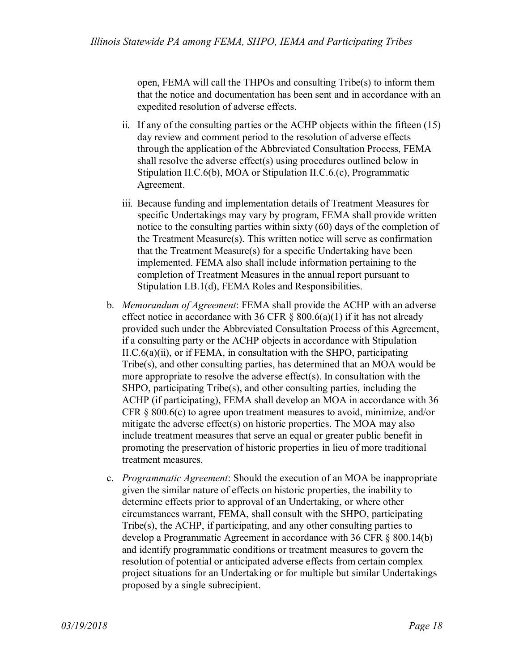open, FEMA will call the THPOs and consulting Tribe(s) to inform them that the notice and documentation has been sent and in accordance with an expedited resolution of adverse effects.

- ii. If any of the consulting parties or the ACHP objects within the fifteen (15) day review and comment period to the resolution of adverse effects through the application of the Abbreviated Consultation Process, FEMA shall resolve the adverse effect(s) using procedures outlined below in Stipulation II.C.6(b), MOA or Stipulation II.C.6.(c), Programmatic Agreement.
- iii. Because funding and implementation details of Treatment Measures for specific Undertakings may vary by program, FEMA shall provide written notice to the consulting parties within sixty (60) days of the completion of the Treatment Measure(s). This written notice will serve as confirmation that the Treatment Measure(s) for a specific Undertaking have been implemented. FEMA also shall include information pertaining to the completion of Treatment Measures in the annual report pursuant to Stipulation I.B.1(d), FEMA Roles and Responsibilities.
- b. *Memorandum of Agreement*: FEMA shall provide the ACHP with an adverse effect notice in accordance with 36 CFR  $\S$  800.6(a)(1) if it has not already provided such under the Abbreviated Consultation Process of this Agreement, if a consulting party or the ACHP objects in accordance with Stipulation II.C.6(a)(ii), or if FEMA, in consultation with the SHPO, participating Tribe(s), and other consulting parties, has determined that an MOA would be more appropriate to resolve the adverse effect(s). In consultation with the SHPO, participating Tribe(s), and other consulting parties, including the ACHP (if participating), FEMA shall develop an MOA in accordance with 36 CFR  $\S$  800.6(c) to agree upon treatment measures to avoid, minimize, and/or mitigate the adverse effect(s) on historic properties. The MOA may also include treatment measures that serve an equal or greater public benefit in promoting the preservation of historic properties in lieu of more traditional treatment measures.
- c. *Programmatic Agreement*: Should the execution of an MOA be inappropriate given the similar nature of effects on historic properties, the inability to determine effects prior to approval of an Undertaking, or where other circumstances warrant, FEMA, shall consult with the SHPO, participating Tribe(s), the ACHP, if participating, and any other consulting parties to develop a Programmatic Agreement in accordance with 36 CFR § 800.14(b) and identify programmatic conditions or treatment measures to govern the resolution of potential or anticipated adverse effects from certain complex project situations for an Undertaking or for multiple but similar Undertakings proposed by a single subrecipient.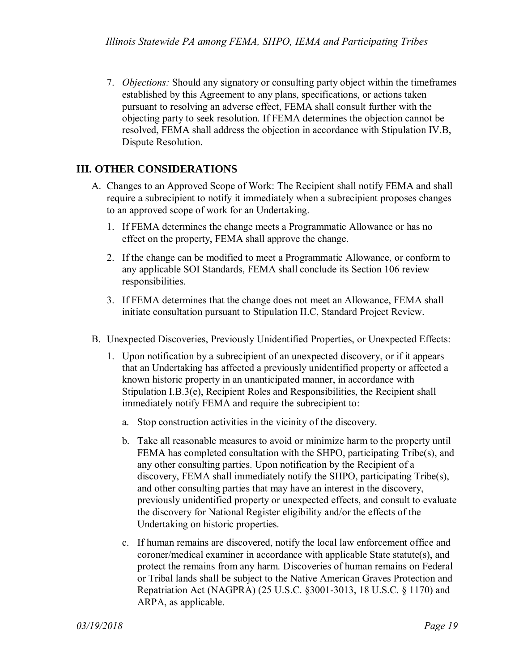7. *Objections:* Should any signatory or consulting party object within the timeframes established by this Agreement to any plans, specifications, or actions taken pursuant to resolving an adverse effect, FEMA shall consult further with the objecting party to seek resolution. If FEMA determines the objection cannot be resolved, FEMA shall address the objection in accordance with Stipulation IV.B, Dispute Resolution.

## **III. OTHER CONSIDERATIONS**

- A. Changes to an Approved Scope of Work: The Recipient shall notify FEMA and shall require a subrecipient to notify it immediately when a subrecipient proposes changes to an approved scope of work for an Undertaking.
	- 1. If FEMA determines the change meets a Programmatic Allowance or has no effect on the property, FEMA shall approve the change.
	- 2. If the change can be modified to meet a Programmatic Allowance, or conform to any applicable SOI Standards, FEMA shall conclude its Section 106 review responsibilities.
	- 3. If FEMA determines that the change does not meet an Allowance, FEMA shall initiate consultation pursuant to Stipulation II.C, Standard Project Review.
- B. Unexpected Discoveries, Previously Unidentified Properties, or Unexpected Effects:
	- 1. Upon notification by a subrecipient of an unexpected discovery, or if it appears that an Undertaking has affected a previously unidentified property or affected a known historic property in an unanticipated manner, in accordance with Stipulation I.B.3(e), Recipient Roles and Responsibilities, the Recipient shall immediately notify FEMA and require the subrecipient to:
		- a. Stop construction activities in the vicinity of the discovery.
		- b. Take all reasonable measures to avoid or minimize harm to the property until FEMA has completed consultation with the SHPO, participating Tribe(s), and any other consulting parties. Upon notification by the Recipient of a discovery, FEMA shall immediately notify the SHPO, participating Tribe(s), and other consulting parties that may have an interest in the discovery, previously unidentified property or unexpected effects, and consult to evaluate the discovery for National Register eligibility and/or the effects of the Undertaking on historic properties.
		- c. If human remains are discovered, notify the local law enforcement office and coroner/medical examiner in accordance with applicable State statute(s), and protect the remains from any harm. Discoveries of human remains on Federal or Tribal lands shall be subject to the Native American Graves Protection and Repatriation Act (NAGPRA) (25 U.S.C. §3001-3013, 18 U.S.C. § 1170) and ARPA, as applicable.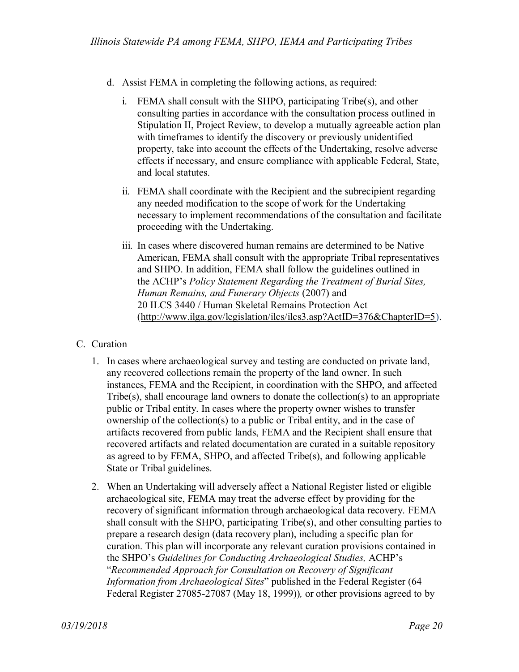- d. Assist FEMA in completing the following actions, as required:
	- i. FEMA shall consult with the SHPO, participating Tribe(s), and other consulting parties in accordance with the consultation process outlined in Stipulation II, Project Review, to develop a mutually agreeable action plan with timeframes to identify the discovery or previously unidentified property, take into account the effects of the Undertaking, resolve adverse effects if necessary, and ensure compliance with applicable Federal, State, and local statutes.
	- ii. FEMA shall coordinate with the Recipient and the subrecipient regarding any needed modification to the scope of work for the Undertaking necessary to implement recommendations of the consultation and facilitate proceeding with the Undertaking.
	- iii. In cases where discovered human remains are determined to be Native American, FEMA shall consult with the appropriate Tribal representatives and SHPO. In addition, FEMA shall follow the guidelines outlined in the ACHP's *Policy Statement Regarding the Treatment of Burial Sites, Human Remains, and Funerary Objects* (2007) and 20 ILCS 3440 / Human Skeletal Remains Protection Act [\(http://www.ilga.gov/legislation/ilcs/ilcs3.asp?ActID=376&ChapterID=5\)](http://www.ilga.gov/legislation/ilcs/ilcs3.asp?ActID=376&ChapterID=5).

### C. Curation

- 1. In cases where archaeological survey and testing are conducted on private land, any recovered collections remain the property of the land owner. In such instances, FEMA and the Recipient, in coordination with the SHPO, and affected Tribe(s), shall encourage land owners to donate the collection(s) to an appropriate public or Tribal entity. In cases where the property owner wishes to transfer ownership of the collection(s) to a public or Tribal entity, and in the case of artifacts recovered from public lands, FEMA and the Recipient shall ensure that recovered artifacts and related documentation are curated in a suitable repository as agreed to by FEMA, SHPO, and affected Tribe(s), and following applicable State or Tribal guidelines.
- 2. When an Undertaking will adversely affect a National Register listed or eligible archaeological site, FEMA may treat the adverse effect by providing for the recovery of significant information through archaeological data recovery. FEMA shall consult with the SHPO, participating Tribe(s), and other consulting parties to prepare a research design (data recovery plan), including a specific plan for curation. This plan will incorporate any relevant curation provisions contained in the SHPO's *Guidelines for Conducting Archaeological Studies,* ACHP's "*Recommended Approach for Consultation on Recovery of Significant Information from Archaeological Sites*" published in the Federal Register (64 Federal Register 27085-27087 (May 18, 1999))*,* or other provisions agreed to by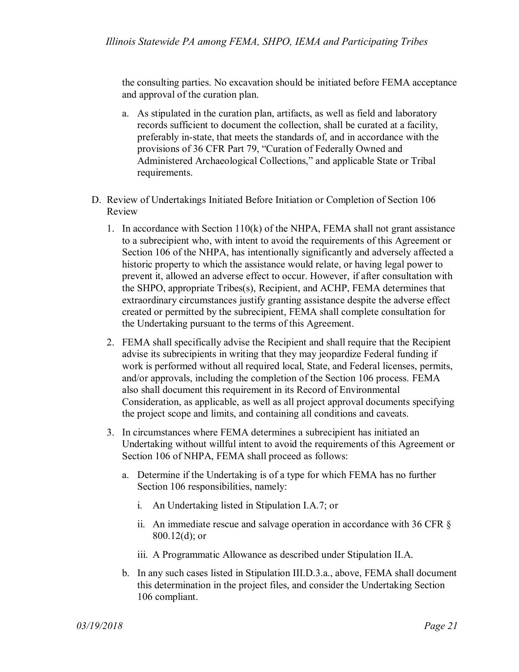the consulting parties. No excavation should be initiated before FEMA acceptance and approval of the curation plan.

- a. As stipulated in the curation plan, artifacts, as well as field and laboratory records sufficient to document the collection, shall be curated at a facility, preferably in-state, that meets the standards of, and in accordance with the provisions of 36 CFR Part 79, "Curation of Federally Owned and Administered Archaeological Collections," and applicable State or Tribal requirements.
- D. Review of Undertakings Initiated Before Initiation or Completion of Section 106 Review
	- 1. In accordance with Section 110(k) of the NHPA, FEMA shall not grant assistance to a subrecipient who, with intent to avoid the requirements of this Agreement or Section 106 of the NHPA, has intentionally significantly and adversely affected a historic property to which the assistance would relate, or having legal power to prevent it, allowed an adverse effect to occur. However, if after consultation with the SHPO, appropriate Tribes(s), Recipient, and ACHP, FEMA determines that extraordinary circumstances justify granting assistance despite the adverse effect created or permitted by the subrecipient, FEMA shall complete consultation for the Undertaking pursuant to the terms of this Agreement.
	- 2. FEMA shall specifically advise the Recipient and shall require that the Recipient advise its subrecipients in writing that they may jeopardize Federal funding if work is performed without all required local, State, and Federal licenses, permits, and/or approvals, including the completion of the Section 106 process. FEMA also shall document this requirement in its Record of Environmental Consideration, as applicable, as well as all project approval documents specifying the project scope and limits, and containing all conditions and caveats.
	- 3. In circumstances where FEMA determines a subrecipient has initiated an Undertaking without willful intent to avoid the requirements of this Agreement or Section 106 of NHPA, FEMA shall proceed as follows:
		- a. Determine if the Undertaking is of a type for which FEMA has no further Section 106 responsibilities, namely:
			- i. An Undertaking listed in Stipulation I.A.7; or
			- ii. An immediate rescue and salvage operation in accordance with 36 CFR § 800.12(d); or
			- iii. A Programmatic Allowance as described under Stipulation II.A.
		- b. In any such cases listed in Stipulation III.D.3.a., above, FEMA shall document this determination in the project files, and consider the Undertaking Section 106 compliant.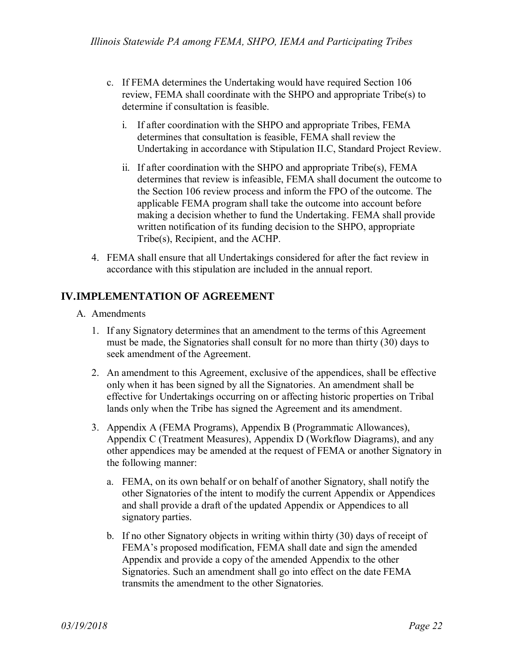- c. If FEMA determines the Undertaking would have required Section 106 review, FEMA shall coordinate with the SHPO and appropriate Tribe(s) to determine if consultation is feasible.
	- i. If after coordination with the SHPO and appropriate Tribes, FEMA determines that consultation is feasible, FEMA shall review the Undertaking in accordance with Stipulation II.C, Standard Project Review.
	- ii. If after coordination with the SHPO and appropriate Tribe(s), FEMA determines that review is infeasible, FEMA shall document the outcome to the Section 106 review process and inform the FPO of the outcome. The applicable FEMA program shall take the outcome into account before making a decision whether to fund the Undertaking. FEMA shall provide written notification of its funding decision to the SHPO, appropriate Tribe(s), Recipient, and the ACHP.
- 4. FEMA shall ensure that all Undertakings considered for after the fact review in accordance with this stipulation are included in the annual report.

## **IV.IMPLEMENTATION OF AGREEMENT**

- A. Amendments
	- 1. If any Signatory determines that an amendment to the terms of this Agreement must be made, the Signatories shall consult for no more than thirty (30) days to seek amendment of the Agreement.
	- 2. An amendment to this Agreement, exclusive of the appendices, shall be effective only when it has been signed by all the Signatories. An amendment shall be effective for Undertakings occurring on or affecting historic properties on Tribal lands only when the Tribe has signed the Agreement and its amendment.
	- 3. Appendix A (FEMA Programs), Appendix B (Programmatic Allowances), Appendix C (Treatment Measures), Appendix D (Workflow Diagrams), and any other appendices may be amended at the request of FEMA or another Signatory in the following manner:
		- a. FEMA, on its own behalf or on behalf of another Signatory, shall notify the other Signatories of the intent to modify the current Appendix or Appendices and shall provide a draft of the updated Appendix or Appendices to all signatory parties.
		- b. If no other Signatory objects in writing within thirty (30) days of receipt of FEMA's proposed modification, FEMA shall date and sign the amended Appendix and provide a copy of the amended Appendix to the other Signatories. Such an amendment shall go into effect on the date FEMA transmits the amendment to the other Signatories.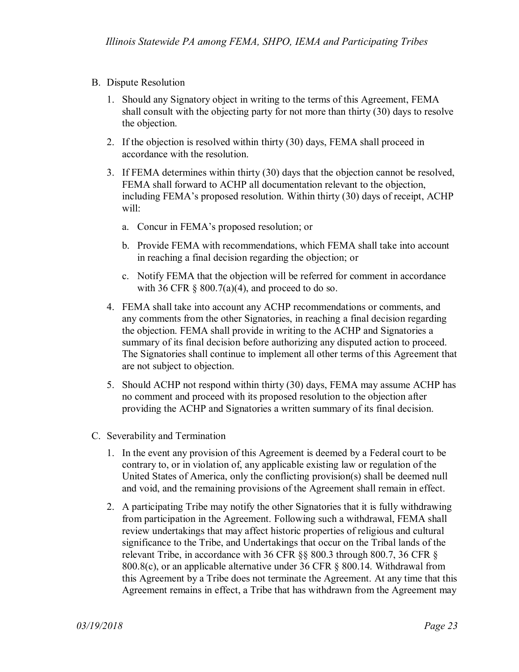- B. Dispute Resolution
	- 1. Should any Signatory object in writing to the terms of this Agreement, FEMA shall consult with the objecting party for not more than thirty (30) days to resolve the objection.
	- 2. If the objection is resolved within thirty (30) days, FEMA shall proceed in accordance with the resolution.
	- 3. If FEMA determines within thirty (30) days that the objection cannot be resolved, FEMA shall forward to ACHP all documentation relevant to the objection, including FEMA's proposed resolution. Within thirty (30) days of receipt, ACHP will:
		- a. Concur in FEMA's proposed resolution; or
		- b. Provide FEMA with recommendations, which FEMA shall take into account in reaching a final decision regarding the objection; or
		- c. Notify FEMA that the objection will be referred for comment in accordance with 36 CFR  $\S$  800.7(a)(4), and proceed to do so.
	- 4. FEMA shall take into account any ACHP recommendations or comments, and any comments from the other Signatories, in reaching a final decision regarding the objection. FEMA shall provide in writing to the ACHP and Signatories a summary of its final decision before authorizing any disputed action to proceed. The Signatories shall continue to implement all other terms of this Agreement that are not subject to objection.
	- 5. Should ACHP not respond within thirty (30) days, FEMA may assume ACHP has no comment and proceed with its proposed resolution to the objection after providing the ACHP and Signatories a written summary of its final decision.
- C. Severability and Termination
	- 1. In the event any provision of this Agreement is deemed by a Federal court to be contrary to, or in violation of, any applicable existing law or regulation of the United States of America, only the conflicting provision(s) shall be deemed null and void, and the remaining provisions of the Agreement shall remain in effect.
	- 2. A participating Tribe may notify the other Signatories that it is fully withdrawing from participation in the Agreement. Following such a withdrawal, FEMA shall review undertakings that may affect historic properties of religious and cultural significance to the Tribe, and Undertakings that occur on the Tribal lands of the relevant Tribe, in accordance with 36 CFR §§ 800.3 through 800.7, 36 CFR § 800.8(c), or an applicable alternative under 36 CFR § 800.14. Withdrawal from this Agreement by a Tribe does not terminate the Agreement. At any time that this Agreement remains in effect, a Tribe that has withdrawn from the Agreement may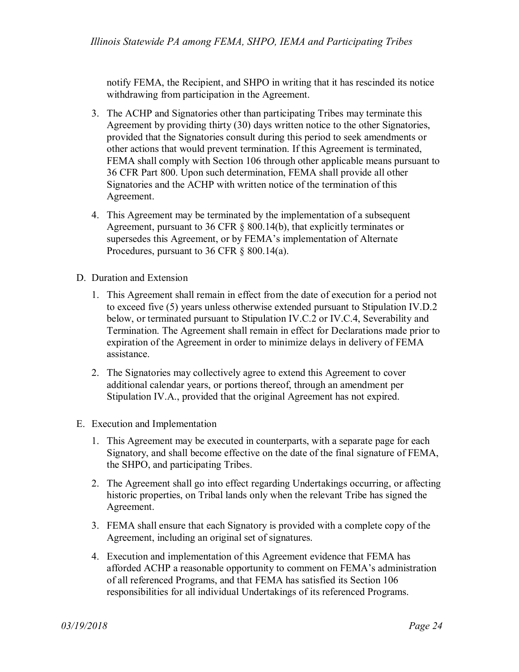notify FEMA, the Recipient, and SHPO in writing that it has rescinded its notice withdrawing from participation in the Agreement.

- 3. The ACHP and Signatories other than participating Tribes may terminate this Agreement by providing thirty (30) days written notice to the other Signatories, provided that the Signatories consult during this period to seek amendments or other actions that would prevent termination. If this Agreement is terminated, FEMA shall comply with Section 106 through other applicable means pursuant to 36 CFR Part 800. Upon such determination, FEMA shall provide all other Signatories and the ACHP with written notice of the termination of this Agreement.
- 4. This Agreement may be terminated by the implementation of a subsequent Agreement, pursuant to 36 CFR § 800.14(b), that explicitly terminates or supersedes this Agreement, or by FEMA's implementation of Alternate Procedures, pursuant to 36 CFR § 800.14(a).
- D. Duration and Extension
	- 1. This Agreement shall remain in effect from the date of execution for a period not to exceed five (5) years unless otherwise extended pursuant to Stipulation IV.D.2 below, or terminated pursuant to Stipulation IV.C.2 or IV.C.4, Severability and Termination. The Agreement shall remain in effect for Declarations made prior to expiration of the Agreement in order to minimize delays in delivery of FEMA assistance.
	- 2. The Signatories may collectively agree to extend this Agreement to cover additional calendar years, or portions thereof, through an amendment per Stipulation IV.A., provided that the original Agreement has not expired.
- E. Execution and Implementation
	- 1. This Agreement may be executed in counterparts, with a separate page for each Signatory, and shall become effective on the date of the final signature of FEMA, the SHPO, and participating Tribes.
	- 2. The Agreement shall go into effect regarding Undertakings occurring, or affecting historic properties, on Tribal lands only when the relevant Tribe has signed the Agreement.
	- 3. FEMA shall ensure that each Signatory is provided with a complete copy of the Agreement, including an original set of signatures.
	- 4. Execution and implementation of this Agreement evidence that FEMA has afforded ACHP a reasonable opportunity to comment on FEMA's administration of all referenced Programs, and that FEMA has satisfied its Section 106 responsibilities for all individual Undertakings of its referenced Programs.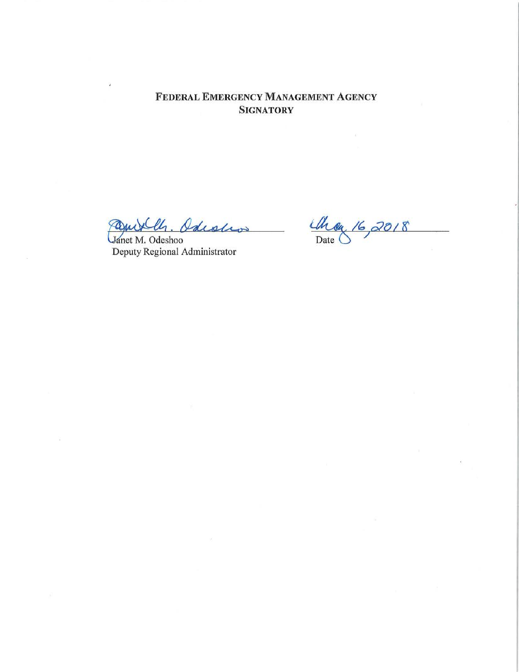FEDERAL EMERGENCY MANAGEMENT AGENCY **SIGNATORY** 

Paniklls. Odiolio

Janet M. Odeshoo Deputy Regional Administrator

Che 16, 2018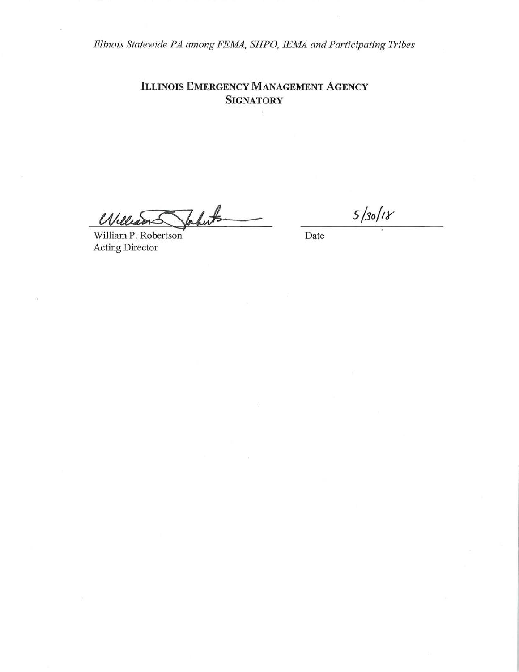**ILLINOIS EMERGENCY MANAGEMENT AGENCY SIGNATORY** 

hut Ũ

William P. Robertson Acting Director

Date

 $5/30/18$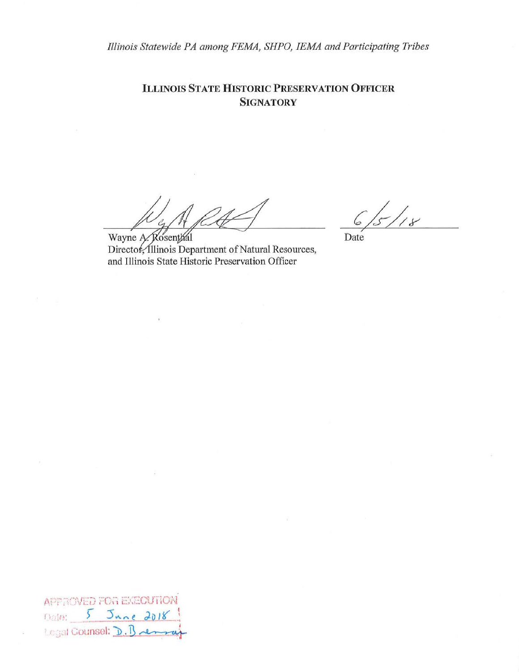**ILLINOIS STATE HISTORIC PRESERVATION OFFICER SIGNATORY** 

 $\frac{1}{8}$ 

Date

Wayne A. Rosenthal Director, Illinois Department of Natural Resources, and Illinois State Historic Preservation Officer

**APPROVED FOR EXECUTION** Dola: 5 June 2018 Legal Counsel: D. Bremsey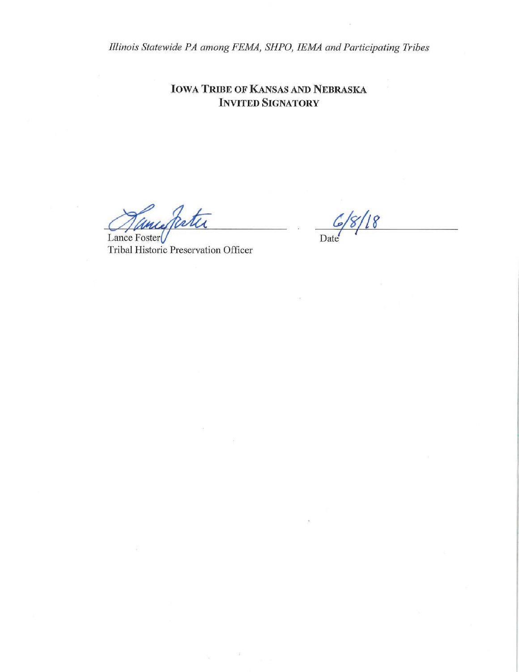**IOWA TRIBE OF KANSAS AND NEBRASKA INVITED SIGNATORY** 

unidatu

Lance Foster Tribal Historic Preservation Officer

 $18$ Date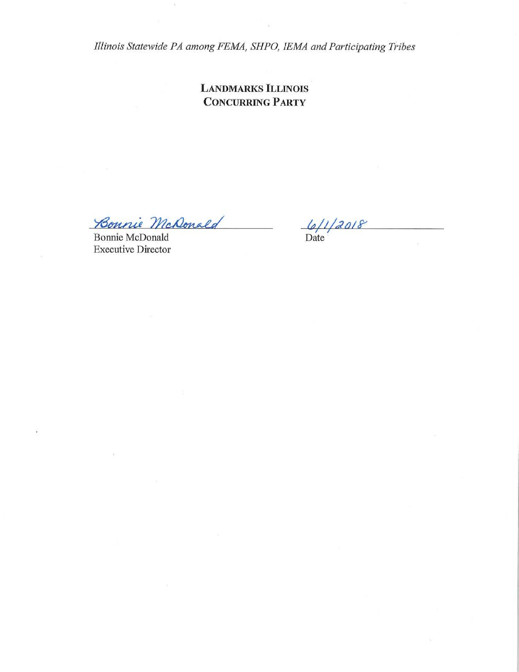**LANDMARKS ILLINOIS CONCURRING PARTY** 

Bonnie McDonald

**Bonnie McDonald Executive Director** 

 $\frac{6}{12018}$ 

 $\mathbb{R}$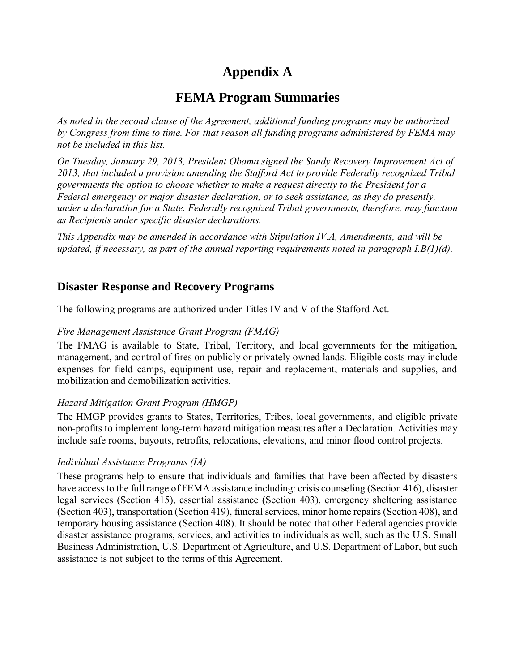# **Appendix A**

# **FEMA Program Summaries**

*As noted in the second clause of the Agreement, additional funding programs may be authorized by Congress from time to time. For that reason all funding programs administered by FEMA may not be included in this list.* 

*On Tuesday, January 29, 2013, President Obama signed the Sandy Recovery Improvement Act of 2013, that included a provision amending the Stafford Act to provide Federally recognized Tribal governments the option to choose whether to make a request directly to the President for a Federal emergency or major disaster declaration, or to seek assistance, as they do presently, under a declaration for a State. Federally recognized Tribal governments, therefore, may function as Recipients under specific disaster declarations.* 

*This Appendix may be amended in accordance with Stipulation IV.A, Amendments, and will be updated, if necessary, as part of the annual reporting requirements noted in paragraph I.B(1)(d).* 

## **Disaster Response and Recovery Programs**

The following programs are authorized under Titles IV and V of the Stafford Act.

### *Fire Management Assistance Grant Program (FMAG)*

The FMAG is available to State, Tribal, Territory, and local governments for the mitigation, management, and control of fires on publicly or privately owned lands. Eligible costs may include expenses for field camps, equipment use, repair and replacement, materials and supplies, and mobilization and demobilization activities.

## *Hazard Mitigation Grant Program (HMGP)*

The HMGP provides grants to States, Territories, Tribes, local governments, and eligible private non-profits to implement long-term hazard mitigation measures after a Declaration. Activities may include safe rooms, buyouts, retrofits, relocations, elevations, and minor flood control projects.

### *Individual Assistance Programs (IA)*

These programs help to ensure that individuals and families that have been affected by disasters have access to the full range of FEMA assistance including: crisis counseling (Section 416), disaster legal services (Section 415), essential assistance (Section 403), emergency sheltering assistance (Section 403), transportation (Section 419), funeral services, minor home repairs (Section 408), and temporary housing assistance (Section 408). It should be noted that other Federal agencies provide disaster assistance programs, services, and activities to individuals as well, such as the U.S. Small Business Administration, U.S. Department of Agriculture, and U.S. Department of Labor, but such assistance is not subject to the terms of this Agreement.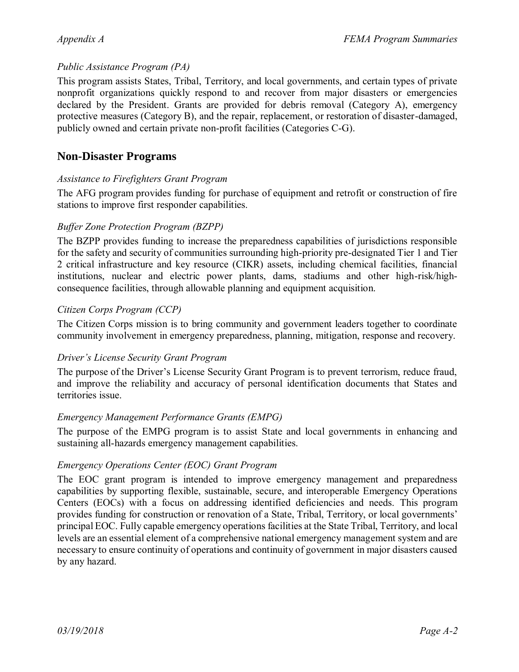### *Public Assistance Program (PA)*

This program assists States, Tribal, Territory, and local governments, and certain types of private nonprofit organizations quickly respond to and recover from major disasters or emergencies declared by the President. Grants are provided for debris removal (Category A), emergency protective measures (Category B), and the repair, replacement, or restoration of disaster-damaged, publicly owned and certain private non-profit facilities (Categories C-G).

## **Non-Disaster Programs**

### *Assistance to Firefighters Grant Program*

The AFG program provides funding for purchase of equipment and retrofit or construction of fire stations to improve first responder capabilities.

### *Buffer Zone Protection Program (BZPP)*

The BZPP provides funding to increase the preparedness capabilities of jurisdictions responsible for the safety and security of communities surrounding high-priority pre-designated Tier 1 and Tier 2 critical infrastructure and key resource (CIKR) assets, including chemical facilities, financial institutions, nuclear and electric power plants, dams, stadiums and other high-risk/highconsequence facilities, through allowable planning and equipment acquisition.

### *Citizen Corps Program (CCP)*

The Citizen Corps mission is to bring community and government leaders together to coordinate community involvement in emergency preparedness, planning, mitigation, response and recovery.

### *Driver's License Security Grant Program*

The purpose of the Driver's License Security Grant Program is to prevent terrorism, reduce fraud, and improve the reliability and accuracy of personal identification documents that States and territories issue.

### *Emergency Management Performance Grants (EMPG)*

The purpose of the EMPG program is to assist State and local governments in enhancing and sustaining all-hazards emergency management capabilities.

## *Emergency Operations Center (EOC) Grant Program*

The EOC grant program is intended to improve emergency management and preparedness capabilities by supporting flexible, sustainable, secure, and interoperable Emergency Operations Centers (EOCs) with a focus on addressing identified deficiencies and needs. This program provides funding for construction or renovation of a State, Tribal, Territory, or local governments' principal EOC. Fully capable emergency operations facilities at the State Tribal, Territory, and local levels are an essential element of a comprehensive national emergency management system and are necessary to ensure continuity of operations and continuity of government in major disasters caused by any hazard.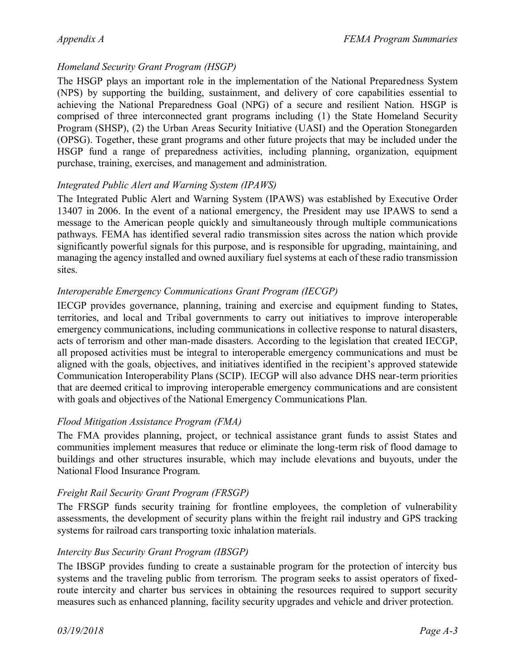## *Homeland Security Grant Program (HSGP)*

The HSGP plays an important role in the implementation of the National Preparedness System (NPS) by supporting the building, sustainment, and delivery of core capabilities essential to achieving the National Preparedness Goal (NPG) of a secure and resilient Nation. HSGP is comprised of three interconnected grant programs including (1) the State Homeland Security Program (SHSP), (2) the Urban Areas Security Initiative (UASI) and the Operation Stonegarden (OPSG). Together, these grant programs and other future projects that may be included under the HSGP fund a range of preparedness activities, including planning, organization, equipment purchase, training, exercises, and management and administration.

### *Integrated Public Alert and Warning System (IPAWS)*

The Integrated Public Alert and Warning System (IPAWS) was established by Executive Order 13407 in 2006. In the event of a national emergency, the President may use IPAWS to send a message to the American people quickly and simultaneously through multiple communications pathways. FEMA has identified several radio transmission sites across the nation which provide significantly powerful signals for this purpose, and is responsible for upgrading, maintaining, and managing the agency installed and owned auxiliary fuel systems at each of these radio transmission sites.

### *Interoperable Emergency Communications Grant Program (IECGP)*

IECGP provides governance, planning, training and exercise and equipment funding to States, territories, and local and Tribal governments to carry out initiatives to improve interoperable emergency communications, including communications in collective response to natural disasters, acts of terrorism and other man-made disasters. According to the legislation that created IECGP, all proposed activities must be integral to interoperable emergency communications and must be aligned with the goals, objectives, and initiatives identified in the recipient's approved statewide Communication Interoperability Plans (SCIP). IECGP will also advance DHS near-term priorities that are deemed critical to improving interoperable emergency communications and are consistent with goals and objectives of the National Emergency Communications Plan.

### *Flood Mitigation Assistance Program (FMA)*

The FMA provides planning, project, or technical assistance grant funds to assist States and communities implement measures that reduce or eliminate the long-term risk of flood damage to buildings and other structures insurable, which may include elevations and buyouts, under the National Flood Insurance Program.

### *Freight Rail Security Grant Program (FRSGP)*

The FRSGP funds security training for frontline employees, the completion of vulnerability assessments, the development of security plans within the freight rail industry and GPS tracking systems for railroad cars transporting toxic inhalation materials.

### *Intercity Bus Security Grant Program (IBSGP)*

The IBSGP provides funding to create a sustainable program for the protection of intercity bus systems and the traveling public from terrorism. The program seeks to assist operators of fixedroute intercity and charter bus services in obtaining the resources required to support security measures such as enhanced planning, facility security upgrades and vehicle and driver protection.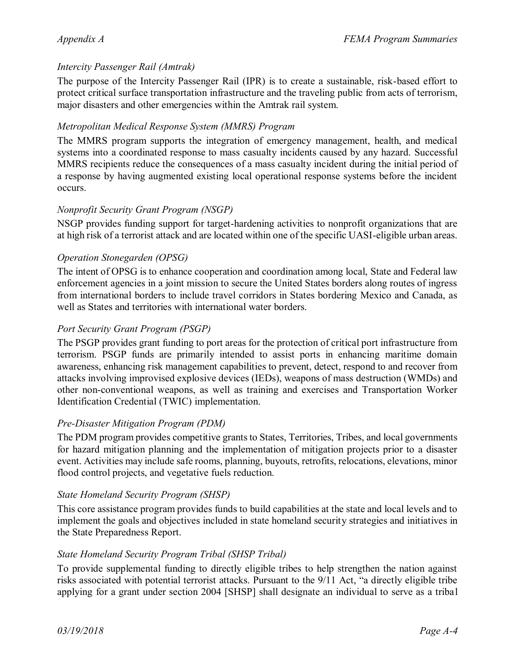### *Intercity Passenger Rail (Amtrak)*

The purpose of the Intercity Passenger Rail (IPR) is to create a sustainable, risk-based effort to protect critical surface transportation infrastructure and the traveling public from acts of terrorism, major disasters and other emergencies within the Amtrak rail system.

### *Metropolitan Medical Response System (MMRS) Program*

The MMRS program supports the integration of emergency management, health, and medical systems into a coordinated response to mass casualty incidents caused by any hazard. Successful MMRS recipients reduce the consequences of a mass casualty incident during the initial period of a response by having augmented existing local operational response systems before the incident occurs.

### *Nonprofit Security Grant Program (NSGP)*

NSGP provides funding support for target-hardening activities to nonprofit organizations that are at high risk of a terrorist attack and are located within one of the specific UASI-eligible urban areas.

### *Operation Stonegarden (OPSG)*

The intent of OPSG is to enhance cooperation and coordination among local, State and Federal law enforcement agencies in a joint mission to secure the United States borders along routes of ingress from international borders to include travel corridors in States bordering Mexico and Canada, as well as States and territories with international water borders.

### *Port Security Grant Program (PSGP)*

The PSGP provides grant funding to port areas for the protection of critical port infrastructure from terrorism. PSGP funds are primarily intended to assist ports in enhancing maritime domain awareness, enhancing risk management capabilities to prevent, detect, respond to and recover from attacks involving improvised explosive devices (IEDs), weapons of mass destruction (WMDs) and other non-conventional weapons, as well as training and exercises and Transportation Worker Identification Credential (TWIC) implementation.

### *Pre-Disaster Mitigation Program (PDM)*

The PDM program provides competitive grants to States, Territories, Tribes, and local governments for hazard mitigation planning and the implementation of mitigation projects prior to a disaster event. Activities may include safe rooms, planning, buyouts, retrofits, relocations, elevations, minor flood control projects, and vegetative fuels reduction.

### *State Homeland Security Program (SHSP)*

This core assistance program provides funds to build capabilities at the state and local levels and to implement the goals and objectives included in state homeland security strategies and initiatives in the State Preparedness Report.

### *State Homeland Security Program Tribal (SHSP Tribal)*

To provide supplemental funding to directly eligible tribes to help strengthen the nation against risks associated with potential terrorist attacks. Pursuant to the 9/11 Act, "a directly eligible tribe applying for a grant under section 2004 [SHSP] shall designate an individual to serve as a tribal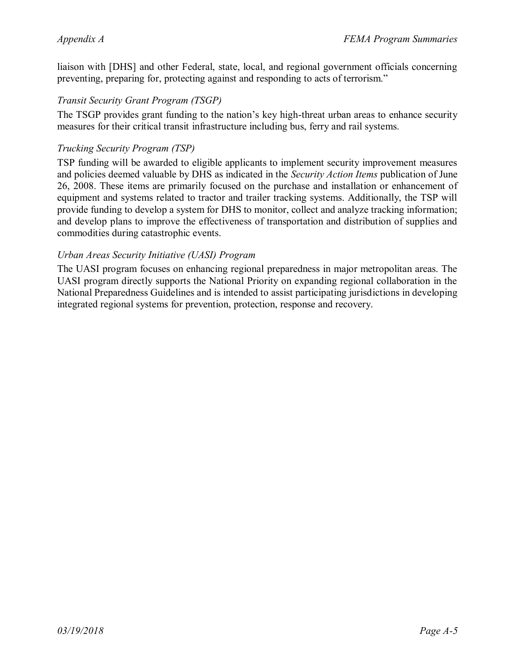liaison with [DHS] and other Federal, state, local, and regional government officials concerning preventing, preparing for, protecting against and responding to acts of terrorism."

### *Transit Security Grant Program (TSGP)*

The TSGP provides grant funding to the nation's key high-threat urban areas to enhance security measures for their critical transit infrastructure including bus, ferry and rail systems.

### *Trucking Security Program (TSP)*

TSP funding will be awarded to eligible applicants to implement security improvement measures and policies deemed valuable by DHS as indicated in the *Security Action Items* publication of June 26, 2008. These items are primarily focused on the purchase and installation or enhancement of equipment and systems related to tractor and trailer tracking systems. Additionally, the TSP will provide funding to develop a system for DHS to monitor, collect and analyze tracking information; and develop plans to improve the effectiveness of transportation and distribution of supplies and commodities during catastrophic events.

### *Urban Areas Security Initiative (UASI) Program*

The UASI program focuses on enhancing regional preparedness in major metropolitan areas. The UASI program directly supports the National Priority on expanding regional collaboration in the National Preparedness Guidelines and is intended to assist participating jurisdictions in developing integrated regional systems for prevention, protection, response and recovery.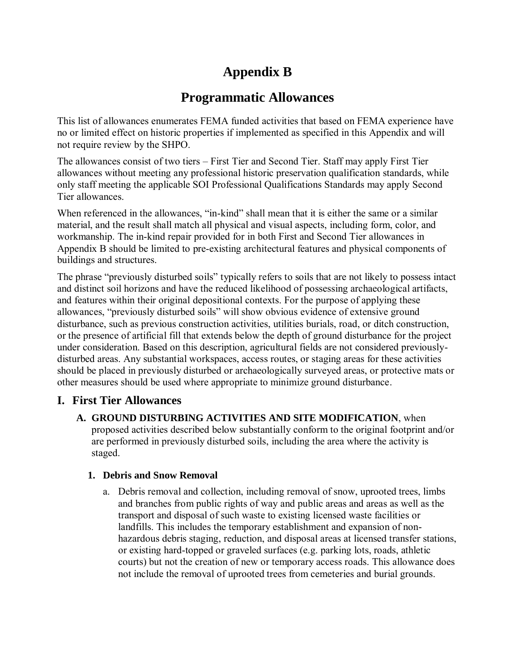# **Appendix B**

# **Programmatic Allowances**

This list of allowances enumerates FEMA funded activities that based on FEMA experience have no or limited effect on historic properties if implemented as specified in this Appendix and will not require review by the SHPO.

The allowances consist of two tiers – First Tier and Second Tier. Staff may apply First Tier allowances without meeting any professional historic preservation qualification standards, while only staff meeting the applicable SOI Professional Qualifications Standards may apply Second Tier allowances.

When referenced in the allowances, "in-kind" shall mean that it is either the same or a similar material, and the result shall match all physical and visual aspects, including form, color, and workmanship. The in-kind repair provided for in both First and Second Tier allowances in Appendix B should be limited to pre-existing architectural features and physical components of buildings and structures.

The phrase "previously disturbed soils" typically refers to soils that are not likely to possess intact and distinct soil horizons and have the reduced likelihood of possessing archaeological artifacts, and features within their original depositional contexts. For the purpose of applying these allowances, "previously disturbed soils" will show obvious evidence of extensive ground disturbance, such as previous construction activities, utilities burials, road, or ditch construction, or the presence of artificial fill that extends below the depth of ground disturbance for the project under consideration. Based on this description, agricultural fields are not considered previouslydisturbed areas. Any substantial workspaces, access routes, or staging areas for these activities should be placed in previously disturbed or archaeologically surveyed areas, or protective mats or other measures should be used where appropriate to minimize ground disturbance.

## **I. First Tier Allowances**

**A. GROUND DISTURBING ACTIVITIES AND SITE MODIFICATION**, when proposed activities described below substantially conform to the original footprint and/or are performed in previously disturbed soils, including the area where the activity is staged.

### **1. Debris and Snow Removal**

a. Debris removal and collection, including removal of snow, uprooted trees, limbs and branches from public rights of way and public areas and areas as well as the transport and disposal of such waste to existing licensed waste facilities or landfills. This includes the temporary establishment and expansion of nonhazardous debris staging, reduction, and disposal areas at licensed transfer stations, or existing hard-topped or graveled surfaces (e.g. parking lots, roads, athletic courts) but not the creation of new or temporary access roads. This allowance does not include the removal of uprooted trees from cemeteries and burial grounds.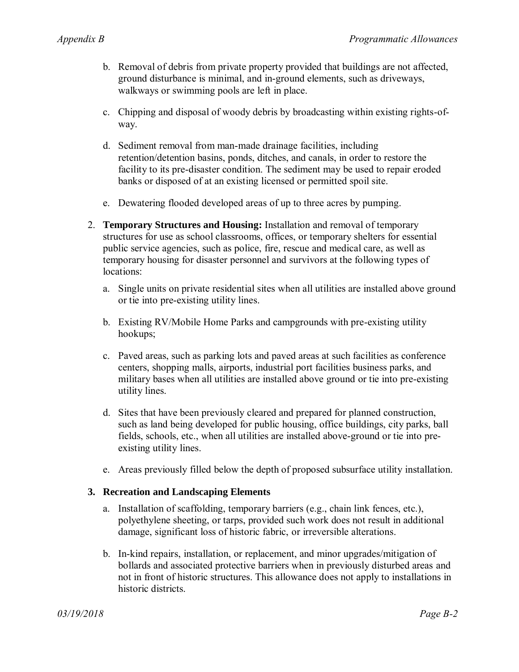- b. Removal of debris from private property provided that buildings are not affected, ground disturbance is minimal, and in-ground elements, such as driveways, walkways or swimming pools are left in place.
- c. Chipping and disposal of woody debris by broadcasting within existing rights-ofway.
- d. Sediment removal from man-made drainage facilities, including retention/detention basins, ponds, ditches, and canals, in order to restore the facility to its pre-disaster condition. The sediment may be used to repair eroded banks or disposed of at an existing licensed or permitted spoil site.
- e. Dewatering flooded developed areas of up to three acres by pumping.
- 2. **Temporary Structures and Housing:** Installation and removal of temporary structures for use as school classrooms, offices, or temporary shelters for essential public service agencies, such as police, fire, rescue and medical care, as well as temporary housing for disaster personnel and survivors at the following types of locations:
	- a. Single units on private residential sites when all utilities are installed above ground or tie into pre-existing utility lines.
	- b. Existing RV/Mobile Home Parks and campgrounds with pre-existing utility hookups;
	- c. Paved areas, such as parking lots and paved areas at such facilities as conference centers, shopping malls, airports, industrial port facilities business parks, and military bases when all utilities are installed above ground or tie into pre-existing utility lines.
	- d. Sites that have been previously cleared and prepared for planned construction, such as land being developed for public housing, office buildings, city parks, ball fields, schools, etc., when all utilities are installed above-ground or tie into preexisting utility lines.
	- e. Areas previously filled below the depth of proposed subsurface utility installation.

#### **3. Recreation and Landscaping Elements**

- a. Installation of scaffolding, temporary barriers (e.g., chain link fences, etc.), polyethylene sheeting, or tarps, provided such work does not result in additional damage, significant loss of historic fabric, or irreversible alterations.
- b. In-kind repairs, installation, or replacement, and minor upgrades/mitigation of bollards and associated protective barriers when in previously disturbed areas and not in front of historic structures. This allowance does not apply to installations in historic districts.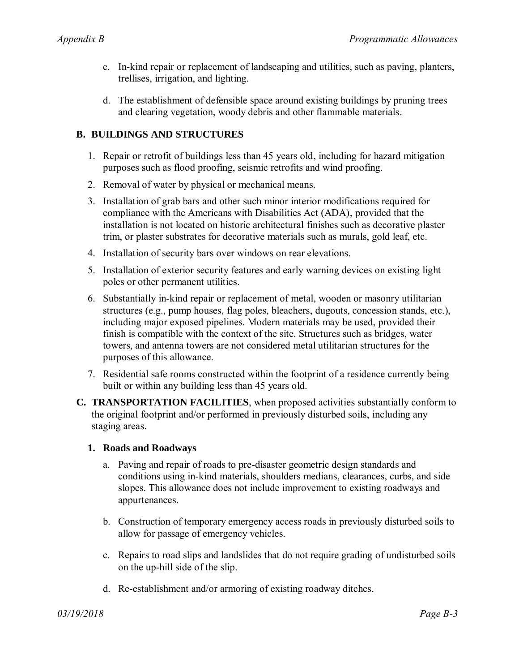- c. In-kind repair or replacement of landscaping and utilities, such as paving, planters, trellises, irrigation, and lighting.
- d. The establishment of defensible space around existing buildings by pruning trees and clearing vegetation, woody debris and other flammable materials.

### **B. BUILDINGS AND STRUCTURES**

- 1. Repair or retrofit of buildings less than 45 years old, including for hazard mitigation purposes such as flood proofing, seismic retrofits and wind proofing.
- 2. Removal of water by physical or mechanical means.
- 3. Installation of grab bars and other such minor interior modifications required for compliance with the Americans with Disabilities Act (ADA), provided that the installation is not located on historic architectural finishes such as decorative plaster trim, or plaster substrates for decorative materials such as murals, gold leaf, etc.
- 4. Installation of security bars over windows on rear elevations.
- 5. Installation of exterior security features and early warning devices on existing light poles or other permanent utilities.
- 6. Substantially in-kind repair or replacement of metal, wooden or masonry utilitarian structures (e.g., pump houses, flag poles, bleachers, dugouts, concession stands, etc.), including major exposed pipelines. Modern materials may be used, provided their finish is compatible with the context of the site. Structures such as bridges, water towers, and antenna towers are not considered metal utilitarian structures for the purposes of this allowance.
- 7. Residential safe rooms constructed within the footprint of a residence currently being built or within any building less than 45 years old.
- **C. TRANSPORTATION FACILITIES**, when proposed activities substantially conform to the original footprint and/or performed in previously disturbed soils, including any staging areas.

#### **1. Roads and Roadways**

- a. Paving and repair of roads to pre-disaster geometric design standards and conditions using in-kind materials, shoulders medians, clearances, curbs, and side slopes. This allowance does not include improvement to existing roadways and appurtenances.
- b. Construction of temporary emergency access roads in previously disturbed soils to allow for passage of emergency vehicles.
- c. Repairs to road slips and landslides that do not require grading of undisturbed soils on the up-hill side of the slip.
- d. Re-establishment and/or armoring of existing roadway ditches.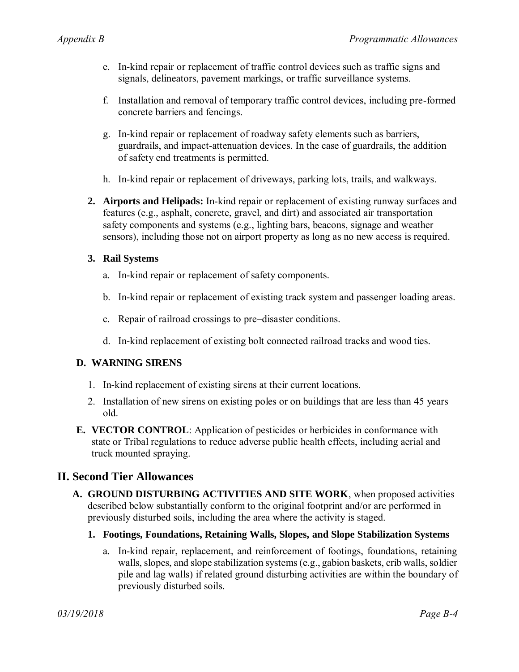- e. In-kind repair or replacement of traffic control devices such as traffic signs and signals, delineators, pavement markings, or traffic surveillance systems.
- f. Installation and removal of temporary traffic control devices, including pre-formed concrete barriers and fencings.
- g. In-kind repair or replacement of roadway safety elements such as barriers, guardrails, and impact-attenuation devices. In the case of guardrails, the addition of safety end treatments is permitted.
- h. In-kind repair or replacement of driveways, parking lots, trails, and walkways.
- **2. Airports and Helipads:** In-kind repair or replacement of existing runway surfaces and features (e.g., asphalt, concrete, gravel, and dirt) and associated air transportation safety components and systems (e.g., lighting bars, beacons, signage and weather sensors), including those not on airport property as long as no new access is required.

### **3. Rail Systems**

- a. In-kind repair or replacement of safety components.
- b. In-kind repair or replacement of existing track system and passenger loading areas.
- c. Repair of railroad crossings to pre–disaster conditions.
- d. In-kind replacement of existing bolt connected railroad tracks and wood ties.

### **D. WARNING SIRENS**

- 1. In-kind replacement of existing sirens at their current locations.
- 2. Installation of new sirens on existing poles or on buildings that are less than 45 years old.
- **E. VECTOR CONTROL**: Application of pesticides or herbicides in conformance with state or Tribal regulations to reduce adverse public health effects, including aerial and truck mounted spraying.

## **II. Second Tier Allowances**

- **A. GROUND DISTURBING ACTIVITIES AND SITE WORK**, when proposed activities described below substantially conform to the original footprint and/or are performed in previously disturbed soils, including the area where the activity is staged.
	- **1. Footings, Foundations, Retaining Walls, Slopes, and Slope Stabilization Systems** 
		- a. In-kind repair, replacement, and reinforcement of footings, foundations, retaining walls, slopes, and slope stabilization systems (e.g., gabion baskets, crib walls, soldier pile and lag walls) if related ground disturbing activities are within the boundary of previously disturbed soils.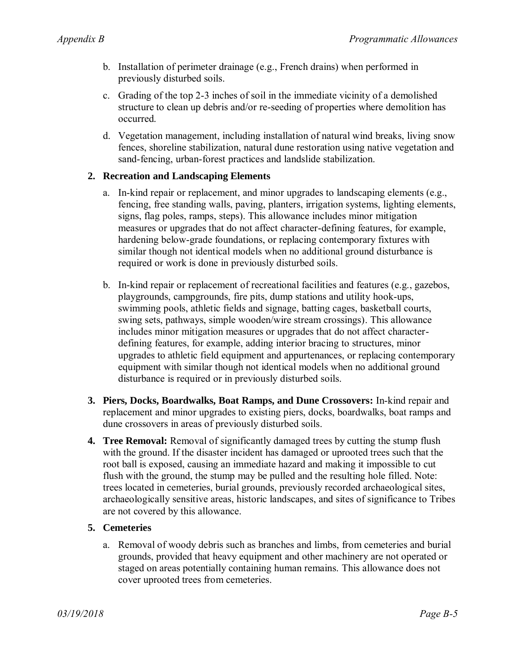- b. Installation of perimeter drainage (e.g., French drains) when performed in previously disturbed soils.
- c. Grading of the top 2-3 inches of soil in the immediate vicinity of a demolished structure to clean up debris and/or re-seeding of properties where demolition has occurred.
- d. Vegetation management, including installation of natural wind breaks, living snow fences, shoreline stabilization, natural dune restoration using native vegetation and sand-fencing, urban-forest practices and landslide stabilization.

### **2. Recreation and Landscaping Elements**

- a. In-kind repair or replacement, and minor upgrades to landscaping elements (e.g., fencing, free standing walls, paving, planters, irrigation systems, lighting elements, signs, flag poles, ramps, steps). This allowance includes minor mitigation measures or upgrades that do not affect character-defining features, for example, hardening below-grade foundations, or replacing contemporary fixtures with similar though not identical models when no additional ground disturbance is required or work is done in previously disturbed soils.
- b. In-kind repair or replacement of recreational facilities and features (e.g., gazebos, playgrounds, campgrounds, fire pits, dump stations and utility hook-ups, swimming pools, athletic fields and signage, batting cages, basketball courts, swing sets, pathways, simple wooden/wire stream crossings). This allowance includes minor mitigation measures or upgrades that do not affect characterdefining features, for example, adding interior bracing to structures, minor upgrades to athletic field equipment and appurtenances, or replacing contemporary equipment with similar though not identical models when no additional ground disturbance is required or in previously disturbed soils.
- **3. Piers, Docks, Boardwalks, Boat Ramps, and Dune Crossovers:** In-kind repair and replacement and minor upgrades to existing piers, docks, boardwalks, boat ramps and dune crossovers in areas of previously disturbed soils.
- **4. Tree Removal:** Removal of significantly damaged trees by cutting the stump flush with the ground. If the disaster incident has damaged or uprooted trees such that the root ball is exposed, causing an immediate hazard and making it impossible to cut flush with the ground, the stump may be pulled and the resulting hole filled. Note: trees located in cemeteries, burial grounds, previously recorded archaeological sites, archaeologically sensitive areas, historic landscapes, and sites of significance to Tribes are not covered by this allowance.

#### **5. Cemeteries**

a. Removal of woody debris such as branches and limbs, from cemeteries and burial grounds, provided that heavy equipment and other machinery are not operated or staged on areas potentially containing human remains. This allowance does not cover uprooted trees from cemeteries.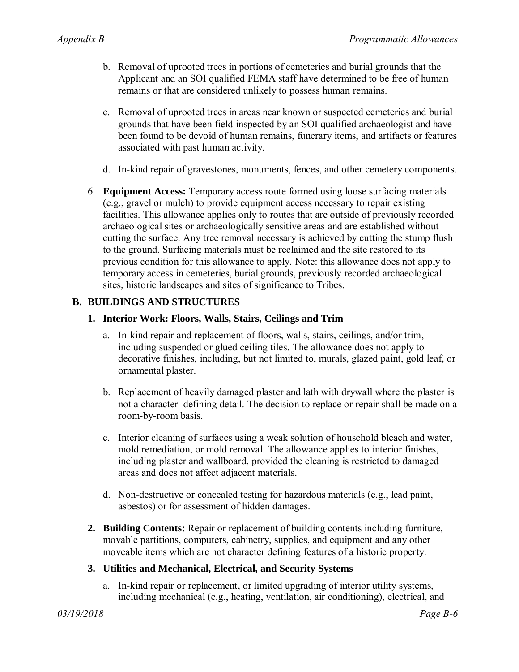- b. Removal of uprooted trees in portions of cemeteries and burial grounds that the Applicant and an SOI qualified FEMA staff have determined to be free of human remains or that are considered unlikely to possess human remains.
- c. Removal of uprooted trees in areas near known or suspected cemeteries and burial grounds that have been field inspected by an SOI qualified archaeologist and have been found to be devoid of human remains, funerary items, and artifacts or features associated with past human activity.
- d. In-kind repair of gravestones, monuments, fences, and other cemetery components.
- 6. **Equipment Access:** Temporary access route formed using loose surfacing materials (e.g., gravel or mulch) to provide equipment access necessary to repair existing facilities. This allowance applies only to routes that are outside of previously recorded archaeological sites or archaeologically sensitive areas and are established without cutting the surface. Any tree removal necessary is achieved by cutting the stump flush to the ground. Surfacing materials must be reclaimed and the site restored to its previous condition for this allowance to apply. Note: this allowance does not apply to temporary access in cemeteries, burial grounds, previously recorded archaeological sites, historic landscapes and sites of significance to Tribes.

### **B. BUILDINGS AND STRUCTURES**

### **1. Interior Work: Floors, Walls, Stairs, Ceilings and Trim**

- a. In-kind repair and replacement of floors, walls, stairs, ceilings, and/or trim, including suspended or glued ceiling tiles. The allowance does not apply to decorative finishes, including, but not limited to, murals, glazed paint, gold leaf, or ornamental plaster.
- b. Replacement of heavily damaged plaster and lath with drywall where the plaster is not a character–defining detail. The decision to replace or repair shall be made on a room-by-room basis.
- c. Interior cleaning of surfaces using a weak solution of household bleach and water, mold remediation, or mold removal. The allowance applies to interior finishes, including plaster and wallboard, provided the cleaning is restricted to damaged areas and does not affect adjacent materials.
- d. Non-destructive or concealed testing for hazardous materials (e.g., lead paint, asbestos) or for assessment of hidden damages.
- **2. Building Contents:** Repair or replacement of building contents including furniture, movable partitions, computers, cabinetry, supplies, and equipment and any other moveable items which are not character defining features of a historic property.

### **3. Utilities and Mechanical, Electrical, and Security Systems**

a. In-kind repair or replacement, or limited upgrading of interior utility systems, including mechanical (e.g., heating, ventilation, air conditioning), electrical, and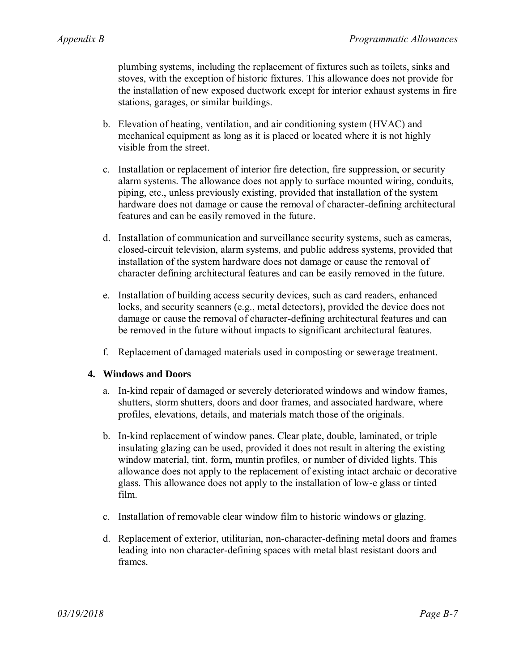plumbing systems, including the replacement of fixtures such as toilets, sinks and stoves, with the exception of historic fixtures. This allowance does not provide for the installation of new exposed ductwork except for interior exhaust systems in fire stations, garages, or similar buildings.

- b. Elevation of heating, ventilation, and air conditioning system (HVAC) and mechanical equipment as long as it is placed or located where it is not highly visible from the street.
- c. Installation or replacement of interior fire detection, fire suppression, or security alarm systems. The allowance does not apply to surface mounted wiring, conduits, piping, etc., unless previously existing, provided that installation of the system hardware does not damage or cause the removal of character-defining architectural features and can be easily removed in the future.
- d. Installation of communication and surveillance security systems, such as cameras, closed-circuit television, alarm systems, and public address systems, provided that installation of the system hardware does not damage or cause the removal of character defining architectural features and can be easily removed in the future.
- e. Installation of building access security devices, such as card readers, enhanced locks, and security scanners (e.g., metal detectors), provided the device does not damage or cause the removal of character-defining architectural features and can be removed in the future without impacts to significant architectural features.
- f. Replacement of damaged materials used in composting or sewerage treatment.

### **4. Windows and Doors**

- a. In-kind repair of damaged or severely deteriorated windows and window frames, shutters, storm shutters, doors and door frames, and associated hardware, where profiles, elevations, details, and materials match those of the originals.
- b. In-kind replacement of window panes. Clear plate, double, laminated, or triple insulating glazing can be used, provided it does not result in altering the existing window material, tint, form, muntin profiles, or number of divided lights. This allowance does not apply to the replacement of existing intact archaic or decorative glass. This allowance does not apply to the installation of low-e glass or tinted film.
- c. Installation of removable clear window film to historic windows or glazing.
- d. Replacement of exterior, utilitarian, non-character-defining metal doors and frames leading into non character-defining spaces with metal blast resistant doors and frames.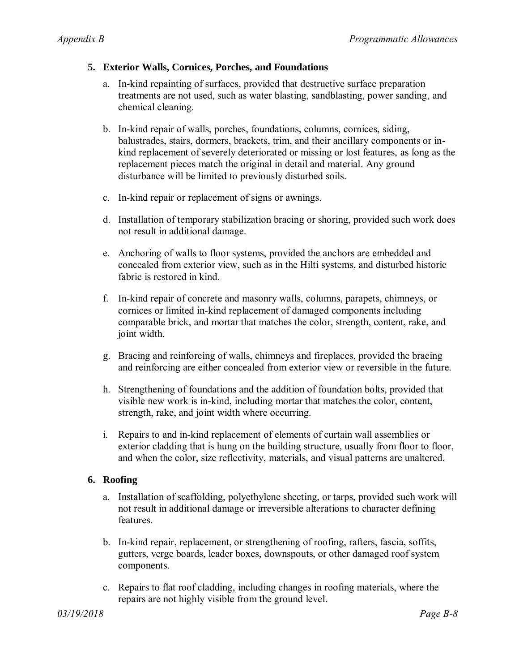### **5. Exterior Walls, Cornices, Porches, and Foundations**

- a. In-kind repainting of surfaces, provided that destructive surface preparation treatments are not used, such as water blasting, sandblasting, power sanding, and chemical cleaning.
- b. In-kind repair of walls, porches, foundations, columns, cornices, siding, balustrades, stairs, dormers, brackets, trim, and their ancillary components or inkind replacement of severely deteriorated or missing or lost features, as long as the replacement pieces match the original in detail and material. Any ground disturbance will be limited to previously disturbed soils.
- c. In-kind repair or replacement of signs or awnings.
- d. Installation of temporary stabilization bracing or shoring, provided such work does not result in additional damage.
- e. Anchoring of walls to floor systems, provided the anchors are embedded and concealed from exterior view, such as in the Hilti systems, and disturbed historic fabric is restored in kind.
- f. In-kind repair of concrete and masonry walls, columns, parapets, chimneys, or cornices or limited in-kind replacement of damaged components including comparable brick, and mortar that matches the color, strength, content, rake, and joint width.
- g. Bracing and reinforcing of walls, chimneys and fireplaces, provided the bracing and reinforcing are either concealed from exterior view or reversible in the future.
- h. Strengthening of foundations and the addition of foundation bolts, provided that visible new work is in-kind, including mortar that matches the color, content, strength, rake, and joint width where occurring.
- i. Repairs to and in-kind replacement of elements of curtain wall assemblies or exterior cladding that is hung on the building structure, usually from floor to floor, and when the color, size reflectivity, materials, and visual patterns are unaltered.

## **6. Roofing**

- a. Installation of scaffolding, polyethylene sheeting, or tarps, provided such work will not result in additional damage or irreversible alterations to character defining features.
- b. In-kind repair, replacement, or strengthening of roofing, rafters, fascia, soffits, gutters, verge boards, leader boxes, downspouts, or other damaged roof system components.
- c. Repairs to flat roof cladding, including changes in roofing materials, where the repairs are not highly visible from the ground level.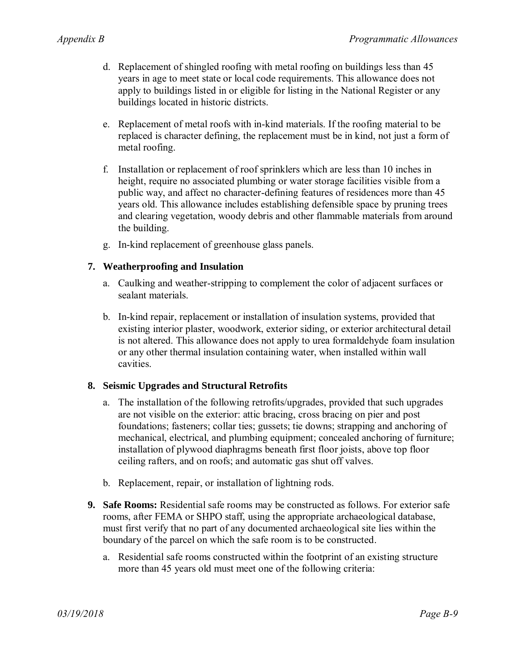- d. Replacement of shingled roofing with metal roofing on buildings less than 45 years in age to meet state or local code requirements. This allowance does not apply to buildings listed in or eligible for listing in the National Register or any buildings located in historic districts.
- e. Replacement of metal roofs with in-kind materials. If the roofing material to be replaced is character defining, the replacement must be in kind, not just a form of metal roofing.
- f. Installation or replacement of roof sprinklers which are less than 10 inches in height, require no associated plumbing or water storage facilities visible from a public way, and affect no character-defining features of residences more than 45 years old. This allowance includes establishing defensible space by pruning trees and clearing vegetation, woody debris and other flammable materials from around the building.
- g. In-kind replacement of greenhouse glass panels.

### **7. Weatherproofing and Insulation**

- a. Caulking and weather-stripping to complement the color of adjacent surfaces or sealant materials.
- b. In-kind repair, replacement or installation of insulation systems, provided that existing interior plaster, woodwork, exterior siding, or exterior architectural detail is not altered. This allowance does not apply to urea formaldehyde foam insulation or any other thermal insulation containing water, when installed within wall cavities.

### **8. Seismic Upgrades and Structural Retrofits**

- a. The installation of the following retrofits/upgrades, provided that such upgrades are not visible on the exterior: attic bracing, cross bracing on pier and post foundations; fasteners; collar ties; gussets; tie downs; strapping and anchoring of mechanical, electrical, and plumbing equipment; concealed anchoring of furniture; installation of plywood diaphragms beneath first floor joists, above top floor ceiling rafters, and on roofs; and automatic gas shut off valves.
- b. Replacement, repair, or installation of lightning rods.
- **9. Safe Rooms:** Residential safe rooms may be constructed as follows. For exterior safe rooms, after FEMA or SHPO staff, using the appropriate archaeological database, must first verify that no part of any documented archaeological site lies within the boundary of the parcel on which the safe room is to be constructed.
	- a. Residential safe rooms constructed within the footprint of an existing structure more than 45 years old must meet one of the following criteria: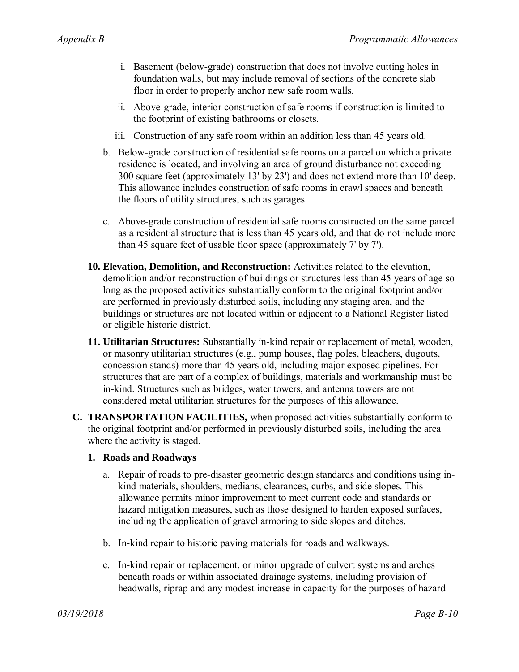- i. Basement (below-grade) construction that does not involve cutting holes in foundation walls, but may include removal of sections of the concrete slab floor in order to properly anchor new safe room walls.
- ii. Above-grade, interior construction of safe rooms if construction is limited to the footprint of existing bathrooms or closets.
- iii. Construction of any safe room within an addition less than 45 years old.
- b. Below-grade construction of residential safe rooms on a parcel on which a private residence is located, and involving an area of ground disturbance not exceeding 300 square feet (approximately 13' by 23') and does not extend more than 10' deep. This allowance includes construction of safe rooms in crawl spaces and beneath the floors of utility structures, such as garages.
- c. Above-grade construction of residential safe rooms constructed on the same parcel as a residential structure that is less than 45 years old, and that do not include more than 45 square feet of usable floor space (approximately 7' by 7').
- **10. Elevation, Demolition, and Reconstruction:** Activities related to the elevation, demolition and/or reconstruction of buildings or structures less than 45 years of age so long as the proposed activities substantially conform to the original footprint and/or are performed in previously disturbed soils, including any staging area, and the buildings or structures are not located within or adjacent to a National Register listed or eligible historic district.
- **11. Utilitarian Structures:** Substantially in-kind repair or replacement of metal, wooden, or masonry utilitarian structures (e.g., pump houses, flag poles, bleachers, dugouts, concession stands) more than 45 years old, including major exposed pipelines. For structures that are part of a complex of buildings, materials and workmanship must be in-kind. Structures such as bridges, water towers, and antenna towers are not considered metal utilitarian structures for the purposes of this allowance.
- **C. TRANSPORTATION FACILITIES,** when proposed activities substantially conform to the original footprint and/or performed in previously disturbed soils, including the area where the activity is staged.

#### **1. Roads and Roadways**

- a. Repair of roads to pre-disaster geometric design standards and conditions using inkind materials, shoulders, medians, clearances, curbs, and side slopes. This allowance permits minor improvement to meet current code and standards or hazard mitigation measures, such as those designed to harden exposed surfaces, including the application of gravel armoring to side slopes and ditches.
- b. In-kind repair to historic paving materials for roads and walkways.
- c. In-kind repair or replacement, or minor upgrade of culvert systems and arches beneath roads or within associated drainage systems, including provision of headwalls, riprap and any modest increase in capacity for the purposes of hazard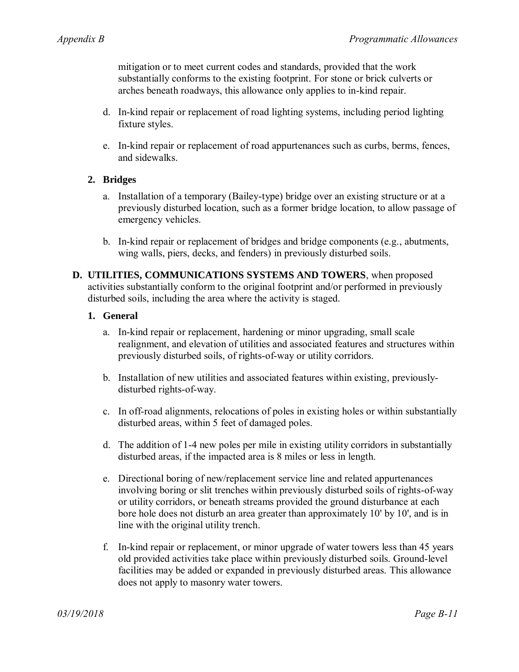mitigation or to meet current codes and standards, provided that the work substantially conforms to the existing footprint. For stone or brick culverts or arches beneath roadways, this allowance only applies to in-kind repair.

- d. In-kind repair or replacement of road lighting systems, including period lighting fixture styles.
- e. In-kind repair or replacement of road appurtenances such as curbs, berms, fences, and sidewalks.

### **2. Bridges**

- a. Installation of a temporary (Bailey-type) bridge over an existing structure or at a previously disturbed location, such as a former bridge location, to allow passage of emergency vehicles.
- b. In-kind repair or replacement of bridges and bridge components (e.g., abutments, wing walls, piers, decks, and fenders) in previously disturbed soils.
- **D. UTILITIES, COMMUNICATIONS SYSTEMS AND TOWERS**, when proposed activities substantially conform to the original footprint and/or performed in previously disturbed soils, including the area where the activity is staged.

### **1. General**

- a. In-kind repair or replacement, hardening or minor upgrading, small scale realignment, and elevation of utilities and associated features and structures within previously disturbed soils, of rights-of-way or utility corridors.
- b. Installation of new utilities and associated features within existing, previouslydisturbed rights-of-way.
- c. In off-road alignments, relocations of poles in existing holes or within substantially disturbed areas, within 5 feet of damaged poles.
- d. The addition of 1-4 new poles per mile in existing utility corridors in substantially disturbed areas, if the impacted area is 8 miles or less in length.
- e. Directional boring of new/replacement service line and related appurtenances involving boring or slit trenches within previously disturbed soils of rights-of-way or utility corridors, or beneath streams provided the ground disturbance at each bore hole does not disturb an area greater than approximately 10' by 10', and is in line with the original utility trench.
- f. In-kind repair or replacement, or minor upgrade of water towers less than 45 years old provided activities take place within previously disturbed soils. Ground-level facilities may be added or expanded in previously disturbed areas. This allowance does not apply to masonry water towers.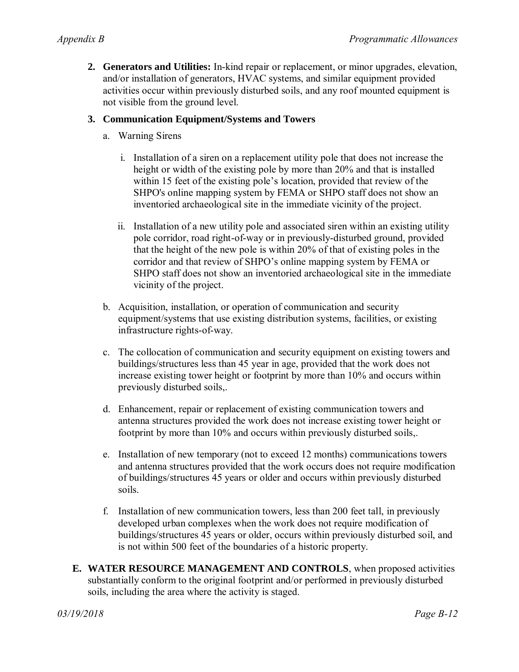**2. Generators and Utilities:** In-kind repair or replacement, or minor upgrades, elevation, and/or installation of generators, HVAC systems, and similar equipment provided activities occur within previously disturbed soils, and any roof mounted equipment is not visible from the ground level.

### **3. Communication Equipment/Systems and Towers**

- a. Warning Sirens
	- i. Installation of a siren on a replacement utility pole that does not increase the height or width of the existing pole by more than 20% and that is installed within 15 feet of the existing pole's location, provided that review of the SHPO's online mapping system by FEMA or SHPO staff does not show an inventoried archaeological site in the immediate vicinity of the project.
	- ii. Installation of a new utility pole and associated siren within an existing utility pole corridor, road right-of-way or in previously-disturbed ground, provided that the height of the new pole is within 20% of that of existing poles in the corridor and that review of SHPO's online mapping system by FEMA or SHPO staff does not show an inventoried archaeological site in the immediate vicinity of the project.
- b. Acquisition, installation, or operation of communication and security equipment/systems that use existing distribution systems, facilities, or existing infrastructure rights-of-way.
- c. The collocation of communication and security equipment on existing towers and buildings/structures less than 45 year in age, provided that the work does not increase existing tower height or footprint by more than 10% and occurs within previously disturbed soils,.
- d. Enhancement, repair or replacement of existing communication towers and antenna structures provided the work does not increase existing tower height or footprint by more than 10% and occurs within previously disturbed soils,.
- e. Installation of new temporary (not to exceed 12 months) communications towers and antenna structures provided that the work occurs does not require modification of buildings/structures 45 years or older and occurs within previously disturbed soils.
- f. Installation of new communication towers, less than 200 feet tall, in previously developed urban complexes when the work does not require modification of buildings/structures 45 years or older, occurs within previously disturbed soil, and is not within 500 feet of the boundaries of a historic property.
- **E. WATER RESOURCE MANAGEMENT AND CONTROLS**, when proposed activities substantially conform to the original footprint and/or performed in previously disturbed soils, including the area where the activity is staged.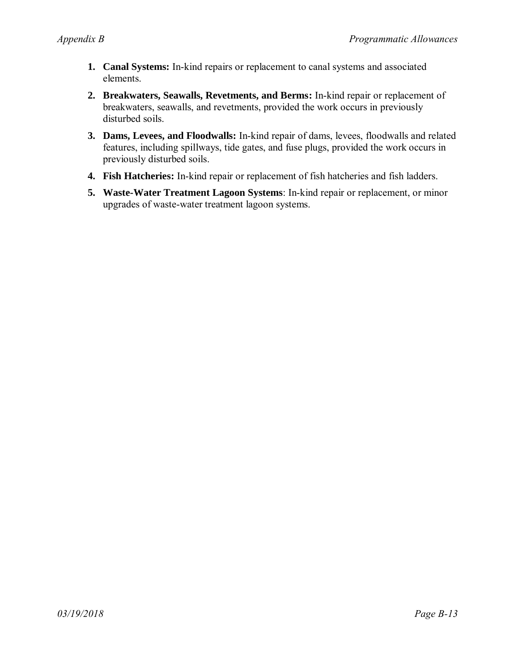- **1. Canal Systems:** In-kind repairs or replacement to canal systems and associated elements.
- **2. Breakwaters, Seawalls, Revetments, and Berms:** In-kind repair or replacement of breakwaters, seawalls, and revetments, provided the work occurs in previously disturbed soils.
- **3. Dams, Levees, and Floodwalls:** In-kind repair of dams, levees, floodwalls and related features, including spillways, tide gates, and fuse plugs, provided the work occurs in previously disturbed soils.
- **4. Fish Hatcheries:** In-kind repair or replacement of fish hatcheries and fish ladders.
- **5. Waste-Water Treatment Lagoon Systems**: In-kind repair or replacement, or minor upgrades of waste-water treatment lagoon systems.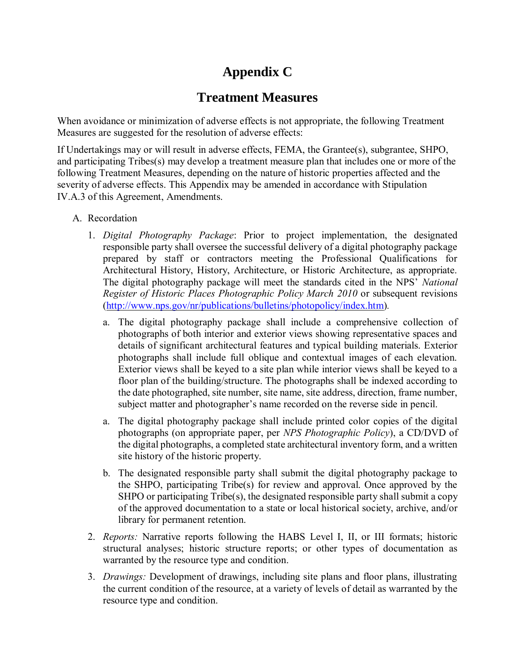# **Appendix C**

# **Treatment Measures**

When avoidance or minimization of adverse effects is not appropriate, the following Treatment Measures are suggested for the resolution of adverse effects:

If Undertakings may or will result in adverse effects, FEMA, the Grantee(s), subgrantee, SHPO, and participating Tribes(s) may develop a treatment measure plan that includes one or more of the following Treatment Measures, depending on the nature of historic properties affected and the severity of adverse effects. This Appendix may be amended in accordance with Stipulation IV.A.3 of this Agreement, Amendments.

- A. Recordation
	- 1. *Digital Photography Package*: Prior to project implementation, the designated responsible party shall oversee the successful delivery of a digital photography package prepared by staff or contractors meeting the Professional Qualifications for Architectural History, History, Architecture, or Historic Architecture, as appropriate. The digital photography package will meet the standards cited in the NPS' *National Register of Historic Places Photographic Policy March 2010* or subsequent revisions [\(http://www.nps.gov/nr/publications/bulletins/photopolicy/index.htm\)](http://www.nps.gov/nr/publications/bulletins/photopolicy/index.htm)*.* 
		- a. The digital photography package shall include a comprehensive collection of photographs of both interior and exterior views showing representative spaces and details of significant architectural features and typical building materials. Exterior photographs shall include full oblique and contextual images of each elevation. Exterior views shall be keyed to a site plan while interior views shall be keyed to a floor plan of the building/structure. The photographs shall be indexed according to the date photographed, site number, site name, site address, direction, frame number, subject matter and photographer's name recorded on the reverse side in pencil.
		- a. The digital photography package shall include printed color copies of the digital photographs (on appropriate paper, per *NPS Photographic Policy*), a CD/DVD of the digital photographs, a completed state architectural inventory form, and a written site history of the historic property.
		- b. The designated responsible party shall submit the digital photography package to the SHPO, participating Tribe(s) for review and approval. Once approved by the SHPO or participating  $\text{Triple}(s)$ , the designated responsible party shall submit a copy of the approved documentation to a state or local historical society, archive, and/or library for permanent retention.
	- 2. *Reports:* Narrative reports following the HABS Level I, II, or III formats; historic structural analyses; historic structure reports; or other types of documentation as warranted by the resource type and condition.
	- 3. *Drawings:* Development of drawings, including site plans and floor plans, illustrating the current condition of the resource, at a variety of levels of detail as warranted by the resource type and condition.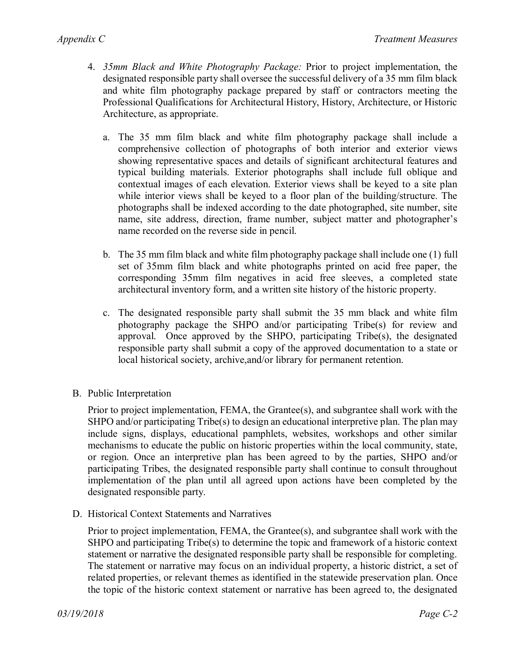- 4. *35mm Black and White Photography Package:* Prior to project implementation, the designated responsible party shall oversee the successful delivery of a 35 mm film black and white film photography package prepared by staff or contractors meeting the Professional Qualifications for Architectural History, History, Architecture, or Historic Architecture, as appropriate.
	- a. The 35 mm film black and white film photography package shall include a comprehensive collection of photographs of both interior and exterior views showing representative spaces and details of significant architectural features and typical building materials. Exterior photographs shall include full oblique and contextual images of each elevation. Exterior views shall be keyed to a site plan while interior views shall be keyed to a floor plan of the building/structure. The photographs shall be indexed according to the date photographed, site number, site name, site address, direction, frame number, subject matter and photographer's name recorded on the reverse side in pencil.
	- b. The 35 mm film black and white film photography package shall include one (1) full set of 35mm film black and white photographs printed on acid free paper, the corresponding 35mm film negatives in acid free sleeves, a completed state architectural inventory form, and a written site history of the historic property.
	- c. The designated responsible party shall submit the 35 mm black and white film photography package the SHPO and/or participating Tribe(s) for review and approval. Once approved by the SHPO, participating Tribe(s), the designated responsible party shall submit a copy of the approved documentation to a state or local historical society, archive,and/or library for permanent retention.
- B. Public Interpretation

Prior to project implementation, FEMA, the Grantee(s), and subgrantee shall work with the SHPO and/or participating Tribe(s) to design an educational interpretive plan. The plan may include signs, displays, educational pamphlets, websites, workshops and other similar mechanisms to educate the public on historic properties within the local community, state, or region. Once an interpretive plan has been agreed to by the parties, SHPO and/or participating Tribes, the designated responsible party shall continue to consult throughout implementation of the plan until all agreed upon actions have been completed by the designated responsible party.

D. Historical Context Statements and Narratives

Prior to project implementation, FEMA, the Grantee(s), and subgrantee shall work with the SHPO and participating Tribe(s) to determine the topic and framework of a historic context statement or narrative the designated responsible party shall be responsible for completing. The statement or narrative may focus on an individual property, a historic district, a set of related properties, or relevant themes as identified in the statewide preservation plan. Once the topic of the historic context statement or narrative has been agreed to, the designated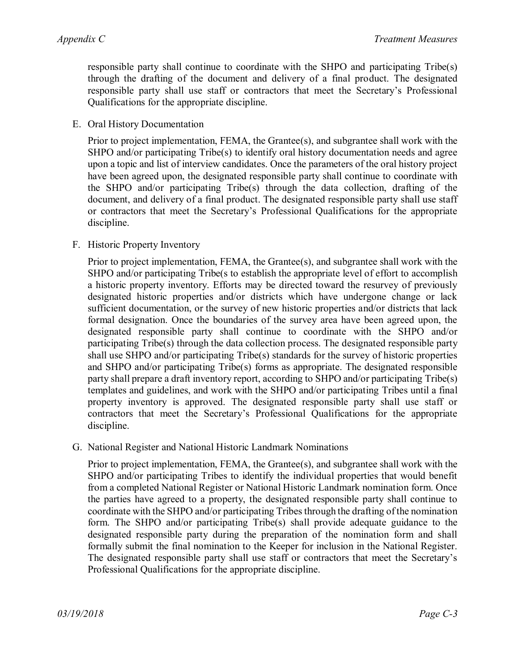responsible party shall continue to coordinate with the SHPO and participating Tribe(s) through the drafting of the document and delivery of a final product. The designated responsible party shall use staff or contractors that meet the Secretary's Professional Qualifications for the appropriate discipline.

E. Oral History Documentation

Prior to project implementation, FEMA, the Grantee(s), and subgrantee shall work with the SHPO and/or participating Tribe(s) to identify oral history documentation needs and agree upon a topic and list of interview candidates. Once the parameters of the oral history project have been agreed upon, the designated responsible party shall continue to coordinate with the SHPO and/or participating Tribe(s) through the data collection, drafting of the document, and delivery of a final product. The designated responsible party shall use staff or contractors that meet the Secretary's Professional Qualifications for the appropriate discipline.

F. Historic Property Inventory

Prior to project implementation, FEMA, the Grantee(s), and subgrantee shall work with the SHPO and/or participating Tribe(s to establish the appropriate level of effort to accomplish a historic property inventory. Efforts may be directed toward the resurvey of previously designated historic properties and/or districts which have undergone change or lack sufficient documentation, or the survey of new historic properties and/or districts that lack formal designation. Once the boundaries of the survey area have been agreed upon, the designated responsible party shall continue to coordinate with the SHPO and/or participating Tribe(s) through the data collection process. The designated responsible party shall use SHPO and/or participating Tribe(s) standards for the survey of historic properties and SHPO and/or participating Tribe(s) forms as appropriate. The designated responsible party shall prepare a draft inventory report, according to SHPO and/or participating Tribe(s) templates and guidelines, and work with the SHPO and/or participating Tribes until a final property inventory is approved. The designated responsible party shall use staff or contractors that meet the Secretary's Professional Qualifications for the appropriate discipline.

G. National Register and National Historic Landmark Nominations

Prior to project implementation, FEMA, the Grantee(s), and subgrantee shall work with the SHPO and/or participating Tribes to identify the individual properties that would benefit from a completed National Register or National Historic Landmark nomination form. Once the parties have agreed to a property, the designated responsible party shall continue to coordinate with the SHPO and/or participating Tribes through the drafting of the nomination form. The SHPO and/or participating Tribe(s) shall provide adequate guidance to the designated responsible party during the preparation of the nomination form and shall formally submit the final nomination to the Keeper for inclusion in the National Register. The designated responsible party shall use staff or contractors that meet the Secretary's Professional Qualifications for the appropriate discipline.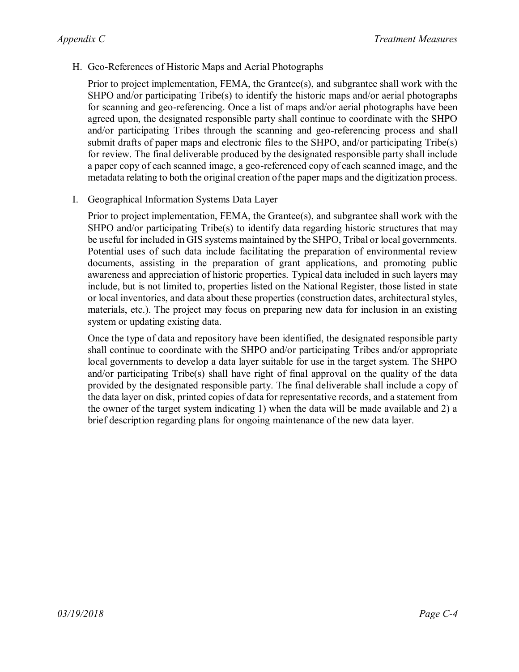H. Geo-References of Historic Maps and Aerial Photographs

Prior to project implementation, FEMA, the Grantee(s), and subgrantee shall work with the SHPO and/or participating Tribe(s) to identify the historic maps and/or aerial photographs for scanning and geo-referencing. Once a list of maps and/or aerial photographs have been agreed upon, the designated responsible party shall continue to coordinate with the SHPO and/or participating Tribes through the scanning and geo-referencing process and shall submit drafts of paper maps and electronic files to the SHPO, and/or participating Tribe(s) for review. The final deliverable produced by the designated responsible party shall include a paper copy of each scanned image, a geo-referenced copy of each scanned image, and the metadata relating to both the original creation of the paper maps and the digitization process.

I. Geographical Information Systems Data Layer

Prior to project implementation, FEMA, the Grantee(s), and subgrantee shall work with the SHPO and/or participating Tribe(s) to identify data regarding historic structures that may be useful for included in GIS systems maintained by the SHPO, Tribal or local governments. Potential uses of such data include facilitating the preparation of environmental review documents, assisting in the preparation of grant applications, and promoting public awareness and appreciation of historic properties. Typical data included in such layers may include, but is not limited to, properties listed on the National Register, those listed in state or local inventories, and data about these properties (construction dates, architectural styles, materials, etc.). The project may focus on preparing new data for inclusion in an existing system or updating existing data.

Once the type of data and repository have been identified, the designated responsible party shall continue to coordinate with the SHPO and/or participating Tribes and/or appropriate local governments to develop a data layer suitable for use in the target system. The SHPO and/or participating Tribe(s) shall have right of final approval on the quality of the data provided by the designated responsible party. The final deliverable shall include a copy of the data layer on disk, printed copies of data for representative records, and a statement from the owner of the target system indicating 1) when the data will be made available and 2) a brief description regarding plans for ongoing maintenance of the new data layer.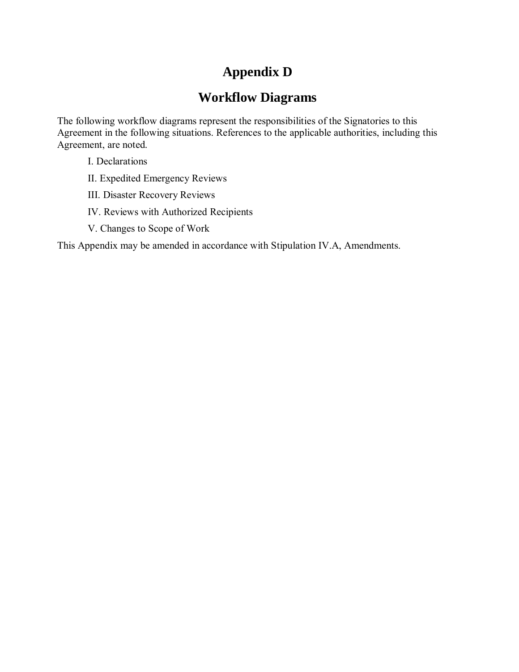# **Appendix D**

# **Workflow Diagrams**

The following workflow diagrams represent the responsibilities of the Signatories to this Agreement in the following situations. References to the applicable authorities, including this Agreement, are noted.

- I. Declarations
- II. Expedited Emergency Reviews
- III. Disaster Recovery Reviews
- IV. Reviews with Authorized Recipients
- V. Changes to Scope of Work

This Appendix may be amended in accordance with Stipulation IV.A, Amendments.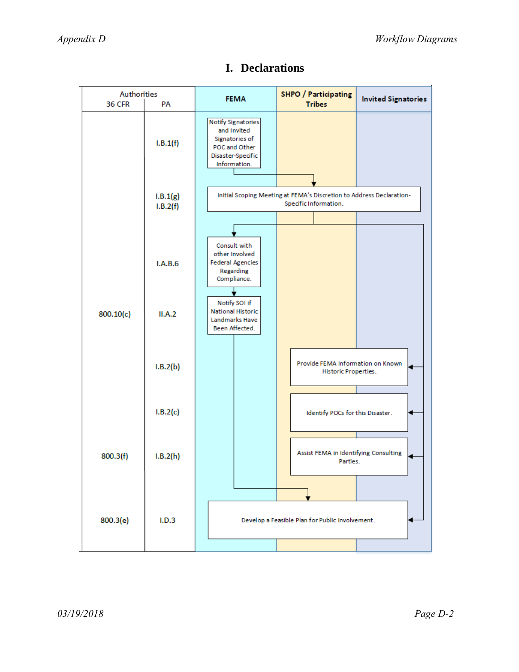| Authorities<br><b>36 CFR</b> | PA                   | <b>FEMA</b>                                                                                                      | <b>SHPO / Participating</b><br><b>Tribes</b>                                                  | <b>Invited Signatories</b> |
|------------------------------|----------------------|------------------------------------------------------------------------------------------------------------------|-----------------------------------------------------------------------------------------------|----------------------------|
|                              | I.B.1(f)             | <b>Notify Signatories</b><br>and Invited<br>Signatories of<br>POC and Other<br>Disaster-Specific<br>Information. |                                                                                               |                            |
|                              | I.B.1(g)<br>I.B.2(f) |                                                                                                                  | Initial Scoping Meeting at FEMA's Discretion to Address Declaration-<br>Specific Information. |                            |
|                              | I.A.B.6              | Consult with<br>other Involved<br><b>Federal Agencies</b><br>Regarding<br>Compliance.                            |                                                                                               |                            |
| 800.10(c)                    | II.A.2               | Notify SOI if<br><b>National Historic</b><br>Landmarks Have<br>Been Affected.                                    |                                                                                               |                            |
|                              | I.B.2(b)             |                                                                                                                  | Provide FEMA Information on Known<br>Historic Properties.                                     |                            |
|                              | I.B.2(c)             |                                                                                                                  | Identify POCs for this Disaster.                                                              |                            |
| 800.3(f)                     | I.B.2(h)             |                                                                                                                  | Assist FEMA in Identifying Consulting<br>Parties.                                             | ⊌                          |
| 800.3(e)                     | I.D.3                |                                                                                                                  | Develop a Feasible Plan for Public Involvement.                                               |                            |

# **I. Declarations**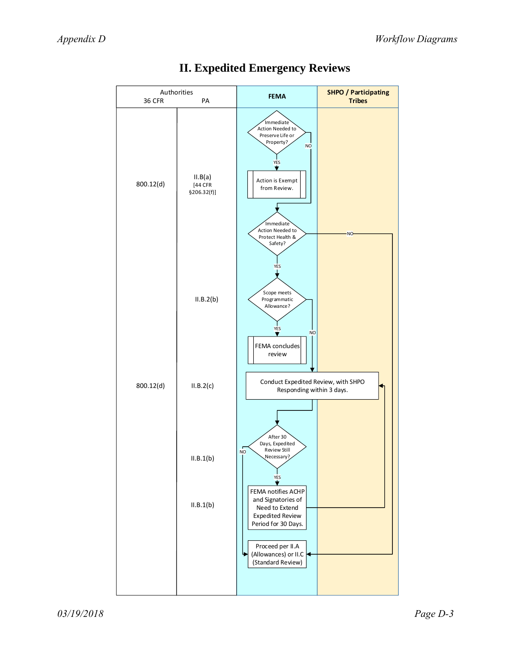

# **II. Expedited Emergency Reviews**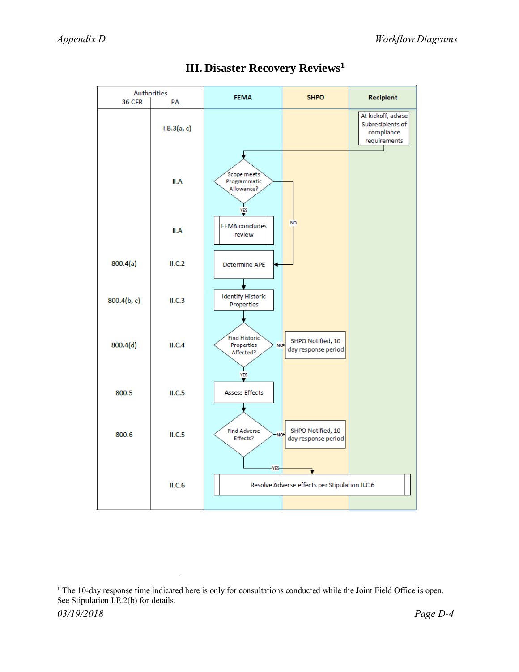

# **III. Disaster Recovery Reviews<sup>1</sup>**

 $\overline{a}$ 

*<sup>03/19/2018</sup> Page D-4*  $1$  The 10-day response time indicated here is only for consultations conducted while the Joint Field Office is open. See Stipulation I.E.2(b) for details.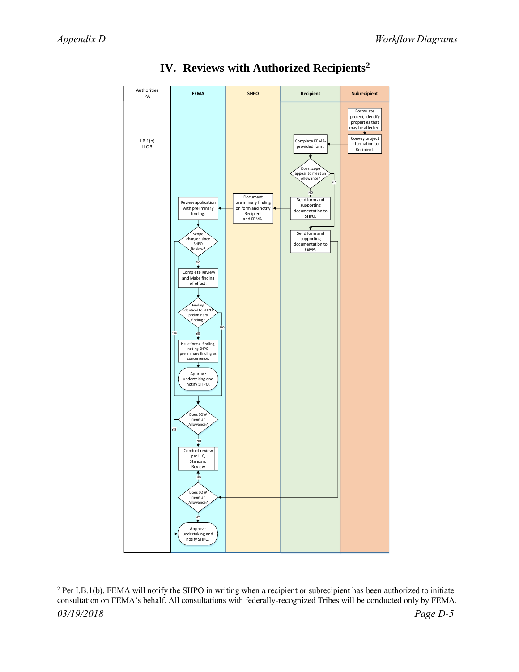$\overline{a}$ 



# **IV. Reviews with Authorized Recipients<sup>2</sup>**

*<sup>03/19/2018</sup> Page D-5*  $2$  Per I.B.1(b), FEMA will notify the SHPO in writing when a recipient or subrecipient has been authorized to initiate consultation on FEMA's behalf. All consultations with federally-recognized Tribes will be conducted only by FEMA.